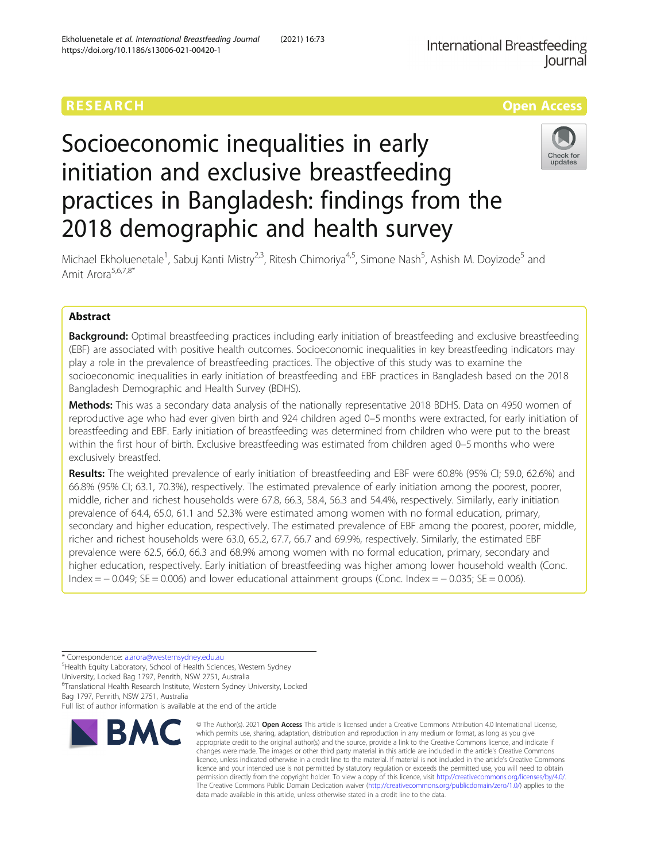https://doi.org/10.1186/s13006-021-00420-1

Ekholuenetale et al. International Breastfeeding Journal (2021) 16:73

# RESEARCH **RESEARCH CONSUMING THE CONSUMING THE CONSUMING THE CONSUMING TENS**

# Socioeconomic inequalities in early initiation and exclusive breastfeeding practices in Bangladesh: findings from the 2018 demographic and health survey



Michael Ekholuenetale<sup>1</sup>, Sabuj Kanti Mistry<sup>2,3</sup>, Ritesh Chimoriya<sup>4,5</sup>, Simone Nash<sup>5</sup>, Ashish M. Doyizode<sup>5</sup> and Amit Arora<sup>5,6,7,8\*</sup>

# Abstract

Background: Optimal breastfeeding practices including early initiation of breastfeeding and exclusive breastfeeding (EBF) are associated with positive health outcomes. Socioeconomic inequalities in key breastfeeding indicators may play a role in the prevalence of breastfeeding practices. The objective of this study was to examine the socioeconomic inequalities in early initiation of breastfeeding and EBF practices in Bangladesh based on the 2018 Bangladesh Demographic and Health Survey (BDHS).

Methods: This was a secondary data analysis of the nationally representative 2018 BDHS. Data on 4950 women of reproductive age who had ever given birth and 924 children aged 0–5 months were extracted, for early initiation of breastfeeding and EBF. Early initiation of breastfeeding was determined from children who were put to the breast within the first hour of birth. Exclusive breastfeeding was estimated from children aged 0–5 months who were exclusively breastfed.

Results: The weighted prevalence of early initiation of breastfeeding and EBF were 60.8% (95% CI; 59.0, 62.6%) and 66.8% (95% CI; 63.1, 70.3%), respectively. The estimated prevalence of early initiation among the poorest, poorer, middle, richer and richest households were 67.8, 66.3, 58.4, 56.3 and 54.4%, respectively. Similarly, early initiation prevalence of 64.4, 65.0, 61.1 and 52.3% were estimated among women with no formal education, primary, secondary and higher education, respectively. The estimated prevalence of EBF among the poorest, poorer, middle, richer and richest households were 63.0, 65.2, 67.7, 66.7 and 69.9%, respectively. Similarly, the estimated EBF prevalence were 62.5, 66.0, 66.3 and 68.9% among women with no formal education, primary, secondary and higher education, respectively. Early initiation of breastfeeding was higher among lower household wealth (Conc. Index =  $-$  0.049; SE = 0.006) and lower educational attainment groups (Conc. Index =  $-$  0.035; SE = 0.006).

\* Correspondence: [a.arora@westernsydney.edu.au](mailto:a.arora@westernsydney.edu.au) <sup>5</sup>

<sup>5</sup>Health Equity Laboratory, School of Health Sciences, Western Sydney

University, Locked Bag 1797, Penrith, NSW 2751, Australia 6 Translational Health Research Institute, Western Sydney University, Locked

Bag 1797, Penrith, NSW 2751, Australia

Full list of author information is available at the end of the article



© The Author(s), 2021 **Open Access** This article is licensed under a Creative Commons Attribution 4.0 International License, which permits use, sharing, adaptation, distribution and reproduction in any medium or format, as long as you give appropriate credit to the original author(s) and the source, provide a link to the Creative Commons licence, and indicate if changes were made. The images or other third party material in this article are included in the article's Creative Commons licence, unless indicated otherwise in a credit line to the material. If material is not included in the article's Creative Commons licence and your intended use is not permitted by statutory regulation or exceeds the permitted use, you will need to obtain permission directly from the copyright holder. To view a copy of this licence, visit [http://creativecommons.org/licenses/by/4.0/.](http://creativecommons.org/licenses/by/4.0/) The Creative Commons Public Domain Dedication waiver [\(http://creativecommons.org/publicdomain/zero/1.0/](http://creativecommons.org/publicdomain/zero/1.0/)) applies to the data made available in this article, unless otherwise stated in a credit line to the data.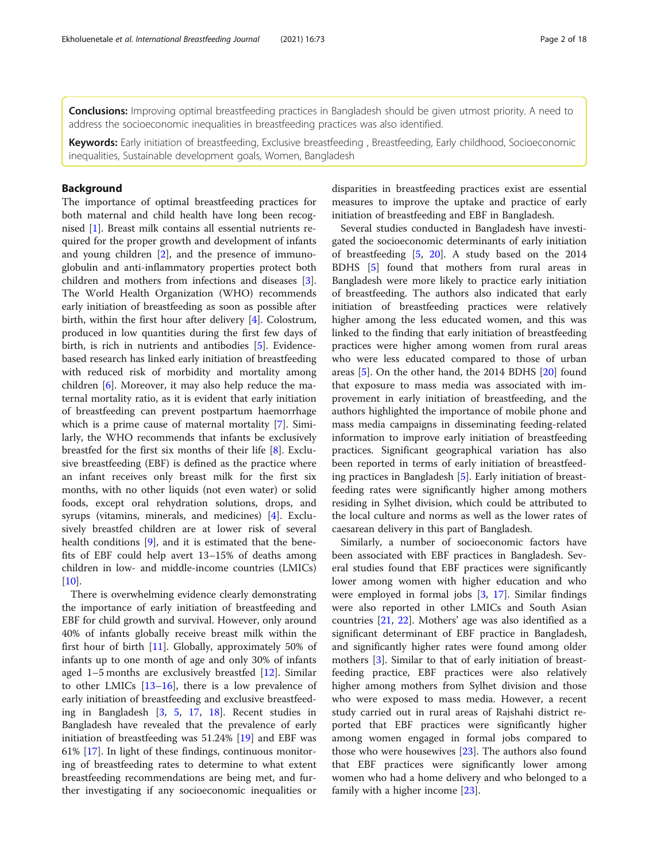**Conclusions:** Improving optimal breastfeeding practices in Bangladesh should be given utmost priority. A need to address the socioeconomic inequalities in breastfeeding practices was also identified.

Keywords: Early initiation of breastfeeding, Exclusive breastfeeding, Breastfeeding, Early childhood, Socioeconomic inequalities, Sustainable development goals, Women, Bangladesh

# Background

The importance of optimal breastfeeding practices for both maternal and child health have long been recognised [[1\]](#page-15-0). Breast milk contains all essential nutrients required for the proper growth and development of infants and young children [\[2](#page-15-0)], and the presence of immunoglobulin and anti-inflammatory properties protect both children and mothers from infections and diseases [\[3](#page-15-0)]. The World Health Organization (WHO) recommends early initiation of breastfeeding as soon as possible after birth, within the first hour after delivery [\[4\]](#page-15-0). Colostrum, produced in low quantities during the first few days of birth, is rich in nutrients and antibodies [[5\]](#page-15-0). Evidencebased research has linked early initiation of breastfeeding with reduced risk of morbidity and mortality among children [[6\]](#page-15-0). Moreover, it may also help reduce the maternal mortality ratio, as it is evident that early initiation of breastfeeding can prevent postpartum haemorrhage which is a prime cause of maternal mortality [\[7](#page-15-0)]. Similarly, the WHO recommends that infants be exclusively breastfed for the first six months of their life [[8\]](#page-15-0). Exclusive breastfeeding (EBF) is defined as the practice where an infant receives only breast milk for the first six months, with no other liquids (not even water) or solid foods, except oral rehydration solutions, drops, and syrups (vitamins, minerals, and medicines) [[4\]](#page-15-0). Exclusively breastfed children are at lower risk of several health conditions [\[9](#page-15-0)], and it is estimated that the benefits of EBF could help avert 13–15% of deaths among children in low- and middle-income countries (LMICs)  $[10]$  $[10]$ .

There is overwhelming evidence clearly demonstrating the importance of early initiation of breastfeeding and EBF for child growth and survival. However, only around 40% of infants globally receive breast milk within the first hour of birth [[11\]](#page-15-0). Globally, approximately 50% of infants up to one month of age and only 30% of infants aged 1–5 months are exclusively breastfed [\[12\]](#page-15-0). Similar to other LMICs  $[13–16]$  $[13–16]$  $[13–16]$  $[13–16]$  $[13–16]$ , there is a low prevalence of early initiation of breastfeeding and exclusive breastfeeding in Bangladesh [\[3](#page-15-0), [5,](#page-15-0) [17](#page-15-0), [18\]](#page-15-0). Recent studies in Bangladesh have revealed that the prevalence of early initiation of breastfeeding was 51.24% [\[19](#page-15-0)] and EBF was 61% [[17\]](#page-15-0). In light of these findings, continuous monitoring of breastfeeding rates to determine to what extent breastfeeding recommendations are being met, and further investigating if any socioeconomic inequalities or disparities in breastfeeding practices exist are essential measures to improve the uptake and practice of early initiation of breastfeeding and EBF in Bangladesh.

Several studies conducted in Bangladesh have investigated the socioeconomic determinants of early initiation of breastfeeding [\[5](#page-15-0), [20](#page-15-0)]. A study based on the 2014 BDHS [\[5](#page-15-0)] found that mothers from rural areas in Bangladesh were more likely to practice early initiation of breastfeeding. The authors also indicated that early initiation of breastfeeding practices were relatively higher among the less educated women, and this was linked to the finding that early initiation of breastfeeding practices were higher among women from rural areas who were less educated compared to those of urban areas [[5\]](#page-15-0). On the other hand, the 2014 BDHS [[20](#page-15-0)] found that exposure to mass media was associated with improvement in early initiation of breastfeeding, and the authors highlighted the importance of mobile phone and mass media campaigns in disseminating feeding-related information to improve early initiation of breastfeeding practices. Significant geographical variation has also been reported in terms of early initiation of breastfeeding practices in Bangladesh [[5\]](#page-15-0). Early initiation of breastfeeding rates were significantly higher among mothers residing in Sylhet division, which could be attributed to the local culture and norms as well as the lower rates of caesarean delivery in this part of Bangladesh.

Similarly, a number of socioeconomic factors have been associated with EBF practices in Bangladesh. Several studies found that EBF practices were significantly lower among women with higher education and who were employed in formal jobs [\[3,](#page-15-0) [17\]](#page-15-0). Similar findings were also reported in other LMICs and South Asian countries [[21](#page-15-0), [22](#page-15-0)]. Mothers' age was also identified as a significant determinant of EBF practice in Bangladesh, and significantly higher rates were found among older mothers [\[3](#page-15-0)]. Similar to that of early initiation of breastfeeding practice, EBF practices were also relatively higher among mothers from Sylhet division and those who were exposed to mass media. However, a recent study carried out in rural areas of Rajshahi district reported that EBF practices were significantly higher among women engaged in formal jobs compared to those who were housewives [\[23](#page-15-0)]. The authors also found that EBF practices were significantly lower among women who had a home delivery and who belonged to a family with a higher income [[23\]](#page-15-0).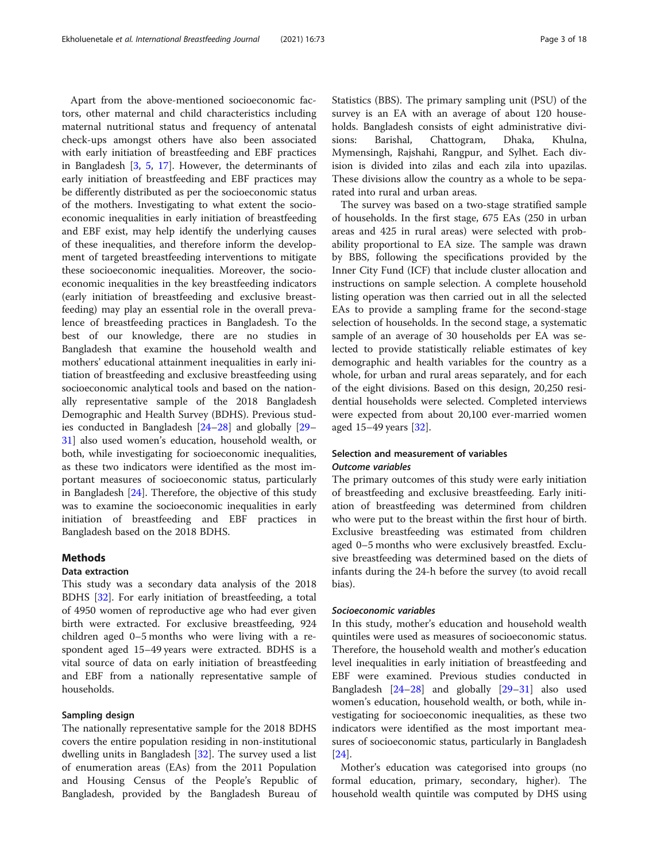Apart from the above-mentioned socioeconomic factors, other maternal and child characteristics including maternal nutritional status and frequency of antenatal check-ups amongst others have also been associated with early initiation of breastfeeding and EBF practices in Bangladesh [\[3](#page-15-0), [5,](#page-15-0) [17\]](#page-15-0). However, the determinants of early initiation of breastfeeding and EBF practices may be differently distributed as per the socioeconomic status of the mothers. Investigating to what extent the socioeconomic inequalities in early initiation of breastfeeding and EBF exist, may help identify the underlying causes of these inequalities, and therefore inform the development of targeted breastfeeding interventions to mitigate these socioeconomic inequalities. Moreover, the socioeconomic inequalities in the key breastfeeding indicators (early initiation of breastfeeding and exclusive breastfeeding) may play an essential role in the overall prevalence of breastfeeding practices in Bangladesh. To the best of our knowledge, there are no studies in Bangladesh that examine the household wealth and mothers' educational attainment inequalities in early initiation of breastfeeding and exclusive breastfeeding using socioeconomic analytical tools and based on the nationally representative sample of the 2018 Bangladesh Demographic and Health Survey (BDHS). Previous studies conducted in Bangladesh [[24](#page-15-0)–[28](#page-15-0)] and globally [[29](#page-15-0)– [31\]](#page-15-0) also used women's education, household wealth, or both, while investigating for socioeconomic inequalities, as these two indicators were identified as the most important measures of socioeconomic status, particularly in Bangladesh [\[24\]](#page-15-0). Therefore, the objective of this study was to examine the socioeconomic inequalities in early initiation of breastfeeding and EBF practices in Bangladesh based on the 2018 BDHS.

# **Methods**

## Data extraction

This study was a secondary data analysis of the 2018 BDHS [[32](#page-15-0)]. For early initiation of breastfeeding, a total of 4950 women of reproductive age who had ever given birth were extracted. For exclusive breastfeeding, 924 children aged 0–5 months who were living with a respondent aged 15–49 years were extracted. BDHS is a vital source of data on early initiation of breastfeeding and EBF from a nationally representative sample of households.

## Sampling design

The nationally representative sample for the 2018 BDHS covers the entire population residing in non-institutional dwelling units in Bangladesh [\[32](#page-15-0)]. The survey used a list of enumeration areas (EAs) from the 2011 Population and Housing Census of the People's Republic of Bangladesh, provided by the Bangladesh Bureau of Statistics (BBS). The primary sampling unit (PSU) of the survey is an EA with an average of about 120 households. Bangladesh consists of eight administrative divisions: Barishal, Chattogram, Dhaka, Khulna, Mymensingh, Rajshahi, Rangpur, and Sylhet. Each division is divided into zilas and each zila into upazilas. These divisions allow the country as a whole to be separated into rural and urban areas.

The survey was based on a two-stage stratified sample of households. In the first stage, 675 EAs (250 in urban areas and 425 in rural areas) were selected with probability proportional to EA size. The sample was drawn by BBS, following the specifications provided by the Inner City Fund (ICF) that include cluster allocation and instructions on sample selection. A complete household listing operation was then carried out in all the selected EAs to provide a sampling frame for the second-stage selection of households. In the second stage, a systematic sample of an average of 30 households per EA was selected to provide statistically reliable estimates of key demographic and health variables for the country as a whole, for urban and rural areas separately, and for each of the eight divisions. Based on this design, 20,250 residential households were selected. Completed interviews were expected from about 20,100 ever-married women aged 15–49 years [[32](#page-15-0)].

## Selection and measurement of variables Outcome variables

The primary outcomes of this study were early initiation of breastfeeding and exclusive breastfeeding. Early initiation of breastfeeding was determined from children who were put to the breast within the first hour of birth. Exclusive breastfeeding was estimated from children aged 0–5 months who were exclusively breastfed. Exclusive breastfeeding was determined based on the diets of infants during the 24-h before the survey (to avoid recall bias).

## Socioeconomic variables

In this study, mother's education and household wealth quintiles were used as measures of socioeconomic status. Therefore, the household wealth and mother's education level inequalities in early initiation of breastfeeding and EBF were examined. Previous studies conducted in Bangladesh [\[24](#page-15-0)–[28\]](#page-15-0) and globally [[29](#page-15-0)–[31](#page-15-0)] also used women's education, household wealth, or both, while investigating for socioeconomic inequalities, as these two indicators were identified as the most important measures of socioeconomic status, particularly in Bangladesh [[24\]](#page-15-0).

Mother's education was categorised into groups (no formal education, primary, secondary, higher). The household wealth quintile was computed by DHS using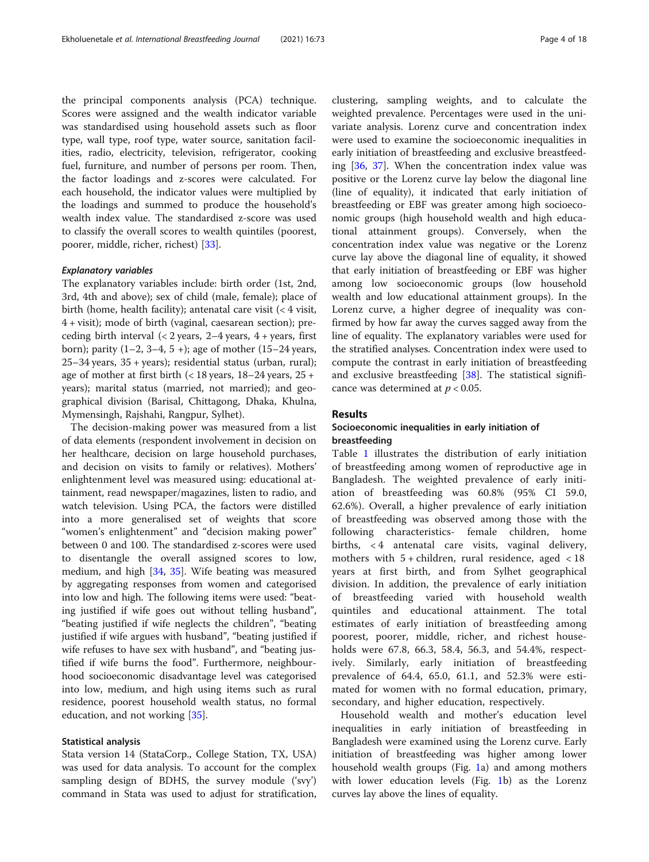the principal components analysis (PCA) technique. Scores were assigned and the wealth indicator variable was standardised using household assets such as floor type, wall type, roof type, water source, sanitation facilities, radio, electricity, television, refrigerator, cooking fuel, furniture, and number of persons per room. Then, the factor loadings and z-scores were calculated. For each household, the indicator values were multiplied by the loadings and summed to produce the household's wealth index value. The standardised z-score was used to classify the overall scores to wealth quintiles (poorest, poorer, middle, richer, richest) [[33\]](#page-15-0).

## Explanatory variables

The explanatory variables include: birth order (1st, 2nd, 3rd, 4th and above); sex of child (male, female); place of birth (home, health facility); antenatal care visit (< 4 visit, 4 + visit); mode of birth (vaginal, caesarean section); preceding birth interval  $\left($  < 2 years, 2–4 years, 4 + years, first born); parity (1–2, 3–4, 5 +); age of mother (15–24 years, 25–34 years, 35 + years); residential status (urban, rural); age of mother at first birth  $\left($  < 18 years, 18–24 years, 25 + years); marital status (married, not married); and geographical division (Barisal, Chittagong, Dhaka, Khulna, Mymensingh, Rajshahi, Rangpur, Sylhet).

The decision-making power was measured from a list of data elements (respondent involvement in decision on her healthcare, decision on large household purchases, and decision on visits to family or relatives). Mothers' enlightenment level was measured using: educational attainment, read newspaper/magazines, listen to radio, and watch television. Using PCA, the factors were distilled into a more generalised set of weights that score "women's enlightenment" and "decision making power" between 0 and 100. The standardised z-scores were used to disentangle the overall assigned scores to low, medium, and high [\[34](#page-15-0), [35\]](#page-15-0). Wife beating was measured by aggregating responses from women and categorised into low and high. The following items were used: "beating justified if wife goes out without telling husband", "beating justified if wife neglects the children", "beating justified if wife argues with husband", "beating justified if wife refuses to have sex with husband", and "beating justified if wife burns the food". Furthermore, neighbourhood socioeconomic disadvantage level was categorised into low, medium, and high using items such as rural residence, poorest household wealth status, no formal education, and not working [[35\]](#page-15-0).

## Statistical analysis

Stata version 14 (StataCorp., College Station, TX, USA) was used for data analysis. To account for the complex sampling design of BDHS, the survey module ('svy') command in Stata was used to adjust for stratification,

clustering, sampling weights, and to calculate the weighted prevalence. Percentages were used in the univariate analysis. Lorenz curve and concentration index were used to examine the socioeconomic inequalities in early initiation of breastfeeding and exclusive breastfeeding  $[36, 37]$  $[36, 37]$  $[36, 37]$ . When the concentration index value was positive or the Lorenz curve lay below the diagonal line (line of equality), it indicated that early initiation of breastfeeding or EBF was greater among high socioeconomic groups (high household wealth and high educational attainment groups). Conversely, when the concentration index value was negative or the Lorenz curve lay above the diagonal line of equality, it showed that early initiation of breastfeeding or EBF was higher among low socioeconomic groups (low household wealth and low educational attainment groups). In the Lorenz curve, a higher degree of inequality was confirmed by how far away the curves sagged away from the line of equality. The explanatory variables were used for the stratified analyses. Concentration index were used to compute the contrast in early initiation of breastfeeding and exclusive breastfeeding [\[38](#page-16-0)]. The statistical significance was determined at  $p < 0.05$ .

## Results

# Socioeconomic inequalities in early initiation of breastfeeding

Table [1](#page-4-0) illustrates the distribution of early initiation of breastfeeding among women of reproductive age in Bangladesh. The weighted prevalence of early initiation of breastfeeding was 60.8% (95% CI 59.0, 62.6%). Overall, a higher prevalence of early initiation of breastfeeding was observed among those with the following characteristics- female children, home births, < 4 antenatal care visits, vaginal delivery, mothers with  $5 +$  children, rural residence, aged  $< 18$ years at first birth, and from Sylhet geographical division. In addition, the prevalence of early initiation of breastfeeding varied with household wealth quintiles and educational attainment. The total estimates of early initiation of breastfeeding among poorest, poorer, middle, richer, and richest households were 67.8, 66.3, 58.4, 56.3, and 54.4%, respectively. Similarly, early initiation of breastfeeding prevalence of 64.4, 65.0, 61.1, and 52.3% were estimated for women with no formal education, primary, secondary, and higher education, respectively.

Household wealth and mother's education level inequalities in early initiation of breastfeeding in Bangladesh were examined using the Lorenz curve. Early initiation of breastfeeding was higher among lower household wealth groups (Fig. [1](#page-6-0)a) and among mothers with lower education levels (Fig. [1b](#page-6-0)) as the Lorenz curves lay above the lines of equality.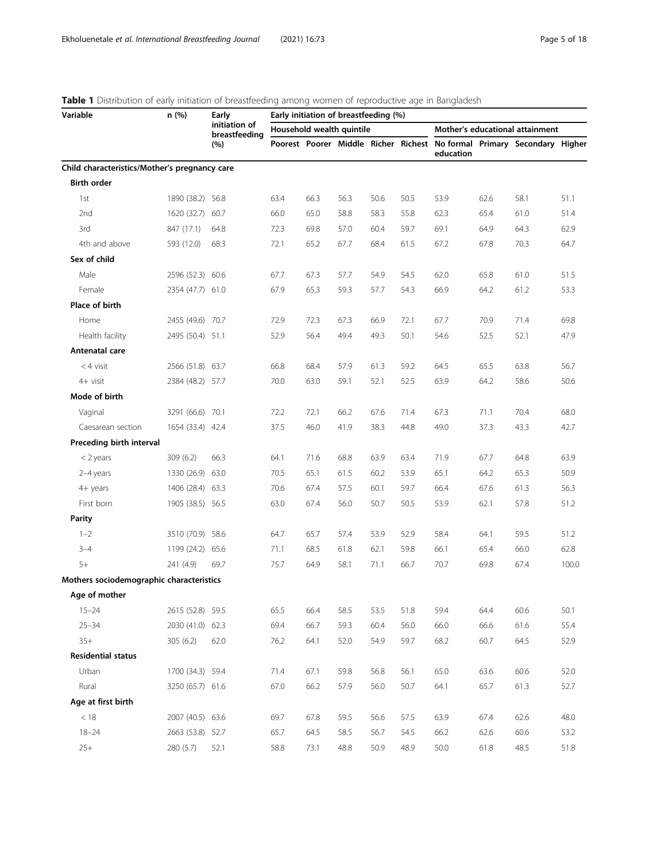| Variable                                      | n (%)            | Early                          |      |      | Early initiation of breastfeeding (%) |      |      |                                 |      |                                                                         |       |
|-----------------------------------------------|------------------|--------------------------------|------|------|---------------------------------------|------|------|---------------------------------|------|-------------------------------------------------------------------------|-------|
|                                               |                  | initiation of<br>breastfeeding |      |      | Household wealth quintile             |      |      | Mother's educational attainment |      |                                                                         |       |
|                                               |                  | (%)                            |      |      |                                       |      |      | education                       |      | Poorest Poorer Middle Richer Richest No formal Primary Secondary Higher |       |
| Child characteristics/Mother's pregnancy care |                  |                                |      |      |                                       |      |      |                                 |      |                                                                         |       |
| <b>Birth order</b>                            |                  |                                |      |      |                                       |      |      |                                 |      |                                                                         |       |
| 1st                                           | 1890 (38.2) 56.8 |                                | 63.4 | 66.3 | 56.3                                  | 50.6 | 50.5 | 53.9                            | 62.6 | 58.1                                                                    | 51.1  |
| 2nd                                           | 1620 (32.7)      | 60.7                           | 66.0 | 65.0 | 58.8                                  | 58.3 | 55.8 | 62.3                            | 65.4 | 61.0                                                                    | 51.4  |
| 3rd                                           | 847 (17.1)       | 64.8                           | 72.3 | 69.8 | 57.0                                  | 60.4 | 59.7 | 69.1                            | 64.9 | 64.3                                                                    | 62.9  |
| 4th and above                                 | 593 (12.0)       | 68.3                           | 72.1 | 65.2 | 67.7                                  | 68.4 | 61.5 | 67.2                            | 67.8 | 70.3                                                                    | 64.7  |
| Sex of child                                  |                  |                                |      |      |                                       |      |      |                                 |      |                                                                         |       |
| Male                                          | 2596 (52.3) 60.6 |                                | 67.7 | 67.3 | 57.7                                  | 54.9 | 54.5 | 62.0                            | 65.8 | 61.0                                                                    | 51.5  |
| Female                                        | 2354 (47.7) 61.0 |                                | 67.9 | 65.3 | 59.3                                  | 57.7 | 54.3 | 66.9                            | 64.2 | 61.2                                                                    | 53.3  |
| Place of birth                                |                  |                                |      |      |                                       |      |      |                                 |      |                                                                         |       |
| Home                                          | 2455 (49.6) 70.7 |                                | 72.9 | 72.3 | 67.3                                  | 66.9 | 72.1 | 67.7                            | 70.9 | 71.4                                                                    | 69.8  |
| Health facility                               | 2495 (50.4) 51.1 |                                | 52.9 | 56.4 | 49.4                                  | 49.3 | 50.1 | 54.6                            | 52.5 | 52.1                                                                    | 47.9  |
| Antenatal care                                |                  |                                |      |      |                                       |      |      |                                 |      |                                                                         |       |
| $<$ 4 visit                                   | 2566 (51.8) 63.7 |                                | 66.8 | 68.4 | 57.9                                  | 61.3 | 59.2 | 64.5                            | 65.5 | 63.8                                                                    | 56.7  |
| 4+ visit                                      | 2384 (48.2) 57.7 |                                | 70.0 | 63.0 | 59.1                                  | 52.1 | 52.5 | 63.9                            | 64.2 | 58.6                                                                    | 50.6  |
| Mode of birth                                 |                  |                                |      |      |                                       |      |      |                                 |      |                                                                         |       |
| Vaginal                                       | 3291 (66.6) 70.1 |                                | 72.2 | 72.1 | 66.2                                  | 67.6 | 71.4 | 67.3                            | 71.1 | 70.4                                                                    | 68.0  |
| Caesarean section                             | 1654 (33.4) 42.4 |                                | 37.5 | 46.0 | 41.9                                  | 38.3 | 44.8 | 49.0                            | 37.3 | 43.3                                                                    | 42.7  |
| Preceding birth interval                      |                  |                                |      |      |                                       |      |      |                                 |      |                                                                         |       |
| $<$ 2 years                                   | 309 (6.2)        | 66.3                           | 64.1 | 71.6 | 68.8                                  | 63.9 | 63.4 | 71.9                            | 67.7 | 64.8                                                                    | 63.9  |
| 2-4 years                                     | 1330 (26.9) 63.0 |                                | 70.5 | 65.1 | 61.5                                  | 60.2 | 53.9 | 65.1                            | 64.2 | 65.3                                                                    | 50.9  |
| 4+ years                                      | 1406 (28.4) 63.3 |                                | 70.6 | 67.4 | 57.5                                  | 60.1 | 59.7 | 66.4                            | 67.6 | 61.3                                                                    | 56.3  |
| First born                                    | 1905 (38.5) 56.5 |                                | 63.0 | 67.4 | 56.0                                  | 50.7 | 50.5 | 53.9                            | 62.1 | 57.8                                                                    | 51.2  |
| Parity                                        |                  |                                |      |      |                                       |      |      |                                 |      |                                                                         |       |
| $1 - 2$                                       | 3510 (70.9) 58.6 |                                | 64.7 | 65.7 | 57.4                                  | 53.9 | 52.9 | 58.4                            | 64.1 | 59.5                                                                    | 51.2  |
| $3 - 4$                                       | 1199 (24.2) 65.6 |                                | 71.1 | 68.5 | 61.8                                  | 62.1 | 59.8 | 66.1                            | 65.4 | 66.0                                                                    | 62.8  |
| $5+$                                          | 241 (4.9)        | 69.7                           | 75.7 | 64.9 | 58.1                                  | 71.1 | 66.7 | 70.7                            | 69.8 | 67.4                                                                    | 100.0 |
| Mothers sociodemographic characteristics      |                  |                                |      |      |                                       |      |      |                                 |      |                                                                         |       |
| Age of mother                                 |                  |                                |      |      |                                       |      |      |                                 |      |                                                                         |       |
| $15 - 24$                                     | 2615 (52.8) 59.5 |                                | 65.5 | 66.4 | 58.5                                  | 53.5 | 51.8 | 59.4                            | 64.4 | 60.6                                                                    | 50.1  |
| $25 - 34$                                     | 2030 (41.0) 62.3 |                                | 69.4 | 66.7 | 59.3                                  | 60.4 | 56.0 | 66.0                            | 66.6 | 61.6                                                                    | 55.4  |
| $35+$                                         | 305(6.2)         | 62.0                           | 76.2 | 64.1 | 52.0                                  | 54.9 | 59.7 | 68.2                            | 60.7 | 64.5                                                                    | 52.9  |
| <b>Residential status</b>                     |                  |                                |      |      |                                       |      |      |                                 |      |                                                                         |       |
| Urban                                         | 1700 (34.3) 59.4 |                                | 71.4 | 67.1 | 59.8                                  | 56.8 | 56.1 | 65.0                            | 63.6 | 60.6                                                                    | 52.0  |
| Rural                                         | 3250 (65.7) 61.6 |                                | 67.0 | 66.2 | 57.9                                  | 56.0 | 50.7 | 64.1                            | 65.7 | 61.3                                                                    | 52.7  |
| Age at first birth                            |                  |                                |      |      |                                       |      |      |                                 |      |                                                                         |       |
| $<18$                                         | 2007 (40.5) 63.6 |                                | 69.7 | 67.8 | 59.5                                  | 56.6 | 57.5 | 63.9                            | 67.4 | 62.6                                                                    | 48.0  |
| $18 - 24$                                     | 2663 (53.8) 52.7 |                                | 65.7 | 64.5 | 58.5                                  | 56.7 | 54.5 | 66.2                            | 62.6 | 60.6                                                                    | 53.2  |
| $25+$                                         | 280 (5.7)        | 52.1                           | 58.8 | 73.1 | 48.8                                  | 50.9 | 48.9 | 50.0                            | 61.8 | 48.5                                                                    | 51.8  |

# <span id="page-4-0"></span>Table 1 Distribution of early initiation of breastfeeding among women of reproductive age in Bangladesh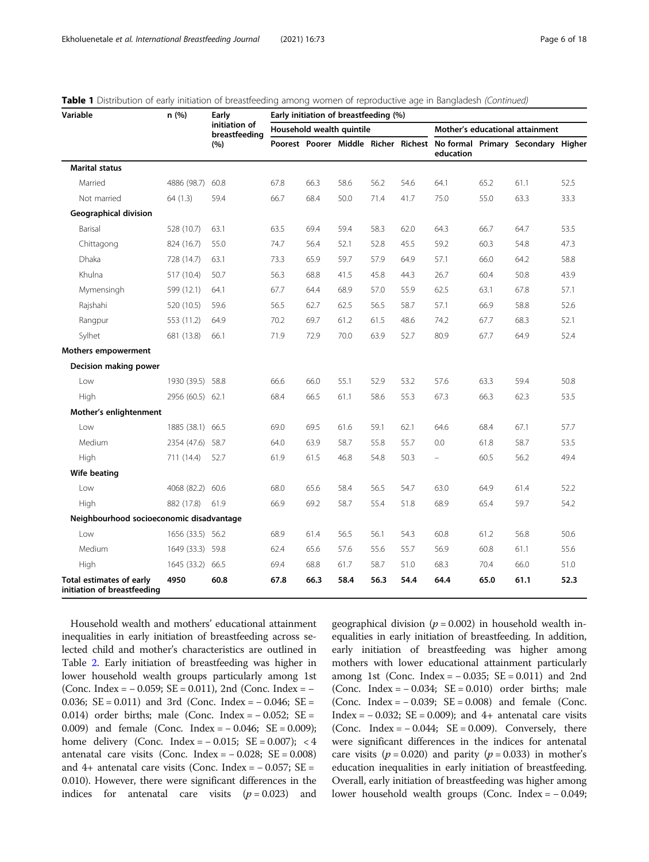| Variable                                                       | n (%)            | Early<br>initiation of<br>breastfeeding | Early initiation of breastfeeding (%) |      |                           |      |      |                                 |      |                                                                         |      |  |  |
|----------------------------------------------------------------|------------------|-----------------------------------------|---------------------------------------|------|---------------------------|------|------|---------------------------------|------|-------------------------------------------------------------------------|------|--|--|
|                                                                |                  |                                         |                                       |      | Household wealth quintile |      |      | Mother's educational attainment |      |                                                                         |      |  |  |
|                                                                |                  | (%)                                     |                                       |      |                           |      |      | education                       |      | Poorest Poorer Middle Richer Richest No formal Primary Secondary Higher |      |  |  |
| <b>Marital status</b>                                          |                  |                                         |                                       |      |                           |      |      |                                 |      |                                                                         |      |  |  |
| Married                                                        | 4886 (98.7)      | 60.8                                    | 67.8                                  | 66.3 | 58.6                      | 56.2 | 54.6 | 64.1                            | 65.2 | 61.1                                                                    | 52.5 |  |  |
| Not married                                                    | 64 (1.3)         | 59.4                                    | 66.7                                  | 68.4 | 50.0                      | 71.4 | 41.7 | 75.0                            | 55.0 | 63.3                                                                    | 33.3 |  |  |
| Geographical division                                          |                  |                                         |                                       |      |                           |      |      |                                 |      |                                                                         |      |  |  |
| Barisal                                                        | 528 (10.7)       | 63.1                                    | 63.5                                  | 69.4 | 59.4                      | 58.3 | 62.0 | 64.3                            | 66.7 | 64.7                                                                    | 53.5 |  |  |
| Chittagong                                                     | 824 (16.7)       | 55.0                                    | 74.7                                  | 56.4 | 52.1                      | 52.8 | 45.5 | 59.2                            | 60.3 | 54.8                                                                    | 47.3 |  |  |
| Dhaka                                                          | 728 (14.7)       | 63.1                                    | 73.3                                  | 65.9 | 59.7                      | 57.9 | 64.9 | 57.1                            | 66.0 | 64.2                                                                    | 58.8 |  |  |
| Khulna                                                         | 517 (10.4)       | 50.7                                    | 56.3                                  | 68.8 | 41.5                      | 45.8 | 44.3 | 26.7                            | 60.4 | 50.8                                                                    | 43.9 |  |  |
| Mymensingh                                                     | 599 (12.1)       | 64.1                                    | 67.7                                  | 64.4 | 68.9                      | 57.0 | 55.9 | 62.5                            | 63.1 | 67.8                                                                    | 57.1 |  |  |
| Rajshahi                                                       | 520 (10.5)       | 59.6                                    | 56.5                                  | 62.7 | 62.5                      | 56.5 | 58.7 | 57.1                            | 66.9 | 58.8                                                                    | 52.6 |  |  |
| Rangpur                                                        | 553 (11.2)       | 64.9                                    | 70.2                                  | 69.7 | 61.2                      | 61.5 | 48.6 | 74.2                            | 67.7 | 68.3                                                                    | 52.1 |  |  |
| Sylhet                                                         | 681 (13.8)       | 66.1                                    | 71.9                                  | 72.9 | 70.0                      | 63.9 | 52.7 | 80.9                            | 67.7 | 64.9                                                                    | 52.4 |  |  |
| <b>Mothers empowerment</b>                                     |                  |                                         |                                       |      |                           |      |      |                                 |      |                                                                         |      |  |  |
| Decision making power                                          |                  |                                         |                                       |      |                           |      |      |                                 |      |                                                                         |      |  |  |
| Low                                                            | 1930 (39.5) 58.8 |                                         | 66.6                                  | 66.0 | 55.1                      | 52.9 | 53.2 | 57.6                            | 63.3 | 59.4                                                                    | 50.8 |  |  |
| High                                                           | 2956 (60.5) 62.1 |                                         | 68.4                                  | 66.5 | 61.1                      | 58.6 | 55.3 | 67.3                            | 66.3 | 62.3                                                                    | 53.5 |  |  |
| Mother's enlightenment                                         |                  |                                         |                                       |      |                           |      |      |                                 |      |                                                                         |      |  |  |
| l ow                                                           | 1885 (38.1) 66.5 |                                         | 69.0                                  | 69.5 | 61.6                      | 59.1 | 62.1 | 64.6                            | 68.4 | 67.1                                                                    | 57.7 |  |  |
| Medium                                                         | 2354 (47.6) 58.7 |                                         | 64.0                                  | 63.9 | 58.7                      | 55.8 | 55.7 | 0.0                             | 61.8 | 58.7                                                                    | 53.5 |  |  |
| High                                                           | 711 (14.4)       | 52.7                                    | 61.9                                  | 61.5 | 46.8                      | 54.8 | 50.3 | $\equiv$                        | 60.5 | 56.2                                                                    | 49.4 |  |  |
| Wife beating                                                   |                  |                                         |                                       |      |                           |      |      |                                 |      |                                                                         |      |  |  |
| Low                                                            | 4068 (82.2) 60.6 |                                         | 68.0                                  | 65.6 | 58.4                      | 56.5 | 54.7 | 63.0                            | 64.9 | 61.4                                                                    | 52.2 |  |  |
| High                                                           | 882 (17.8)       | 61.9                                    | 66.9                                  | 69.2 | 58.7                      | 55.4 | 51.8 | 68.9                            | 65.4 | 59.7                                                                    | 54.2 |  |  |
| Neighbourhood socioeconomic disadvantage                       |                  |                                         |                                       |      |                           |      |      |                                 |      |                                                                         |      |  |  |
| Low                                                            | 1656 (33.5) 56.2 |                                         | 68.9                                  | 61.4 | 56.5                      | 56.1 | 54.3 | 60.8                            | 61.2 | 56.8                                                                    | 50.6 |  |  |
| Medium                                                         | 1649 (33.3) 59.8 |                                         | 62.4                                  | 65.6 | 57.6                      | 55.6 | 55.7 | 56.9                            | 60.8 | 61.1                                                                    | 55.6 |  |  |
| High                                                           | 1645 (33.2)      | 66.5                                    | 69.4                                  | 68.8 | 61.7                      | 58.7 | 51.0 | 68.3                            | 70.4 | 66.0                                                                    | 51.0 |  |  |
| <b>Total estimates of early</b><br>initiation of breastfeeding | 4950             | 60.8                                    | 67.8                                  | 66.3 | 58.4                      | 56.3 | 54.4 | 64.4                            | 65.0 | 61.1                                                                    | 52.3 |  |  |

|  | <b>Table 1</b> Distribution of early initiation of breastfeeding among women of reproductive age in Bangladesh (Continued) |  |  |
|--|----------------------------------------------------------------------------------------------------------------------------|--|--|
|  |                                                                                                                            |  |  |

Household wealth and mothers' educational attainment inequalities in early initiation of breastfeeding across selected child and mother's characteristics are outlined in Table [2](#page-7-0). Early initiation of breastfeeding was higher in lower household wealth groups particularly among 1st (Conc. Index =  $-$  0.059; SE = 0.011), 2nd (Conc. Index =  $-$ 0.036; SE = 0.011) and 3rd (Conc. Index = − 0.046; SE = 0.014) order births; male (Conc. Index = − 0.052; SE = 0.009) and female (Conc. Index = − 0.046; SE = 0.009); home delivery (Conc. Index =  $-0.015$ ; SE = 0.007); < 4 antenatal care visits (Conc. Index =  $-0.028$ ; SE = 0.008) and 4+ antenatal care visits (Conc. Index =  $-$  0.057; SE = 0.010). However, there were significant differences in the indices for antenatal care visits  $(p = 0.023)$  and geographical division ( $p = 0.002$ ) in household wealth inequalities in early initiation of breastfeeding. In addition, early initiation of breastfeeding was higher among mothers with lower educational attainment particularly among 1st (Conc. Index =  $-0.035$ ; SE = 0.011) and 2nd (Conc. Index =  $-0.034$ ; SE = 0.010) order births; male (Conc. Index = − 0.039; SE = 0.008) and female (Conc. Index =  $-0.032$ ; SE = 0.009); and 4+ antenatal care visits (Conc. Index =  $-0.044$ ; SE = 0.009). Conversely, there were significant differences in the indices for antenatal care visits ( $p = 0.020$ ) and parity ( $p = 0.033$ ) in mother's education inequalities in early initiation of breastfeeding. Overall, early initiation of breastfeeding was higher among lower household wealth groups (Conc. Index = − 0.049;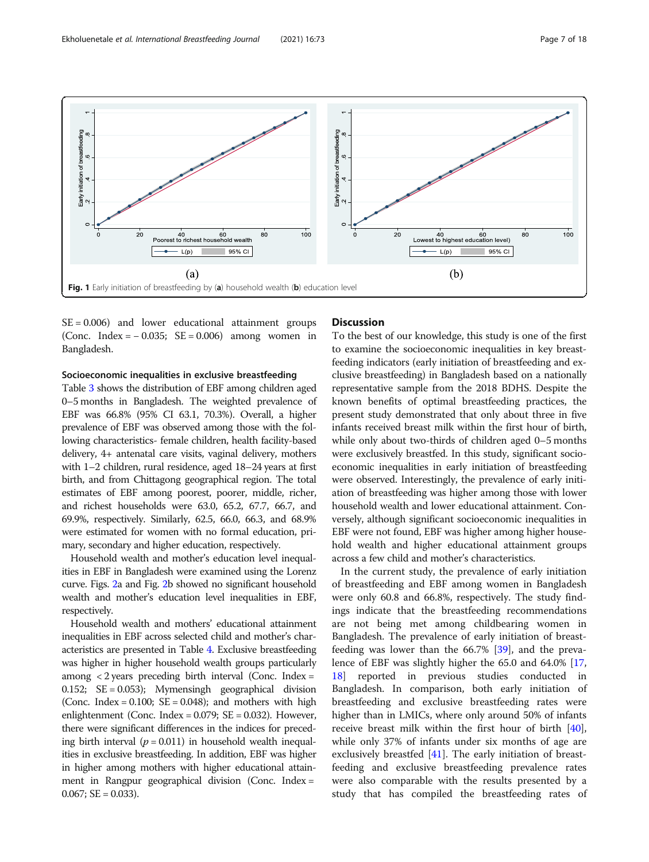<span id="page-6-0"></span>

 $SE = 0.006$ ) and lower educational attainment groups (Conc. Index = − 0.035; SE = 0.006) among women in Bangladesh.

## Socioeconomic inequalities in exclusive breastfeeding

Table [3](#page-9-0) shows the distribution of EBF among children aged 0–5 months in Bangladesh. The weighted prevalence of EBF was 66.8% (95% CI 63.1, 70.3%). Overall, a higher prevalence of EBF was observed among those with the following characteristics- female children, health facility-based delivery, 4+ antenatal care visits, vaginal delivery, mothers with 1–2 children, rural residence, aged 18–24 years at first birth, and from Chittagong geographical region. The total estimates of EBF among poorest, poorer, middle, richer, and richest households were 63.0, 65.2, 67.7, 66.7, and 69.9%, respectively. Similarly, 62.5, 66.0, 66.3, and 68.9% were estimated for women with no formal education, primary, secondary and higher education, respectively.

Household wealth and mother's education level inequalities in EBF in Bangladesh were examined using the Lorenz curve. Figs. [2a](#page-10-0) and Fig. [2b](#page-10-0) showed no significant household wealth and mother's education level inequalities in EBF, respectively.

Household wealth and mothers' educational attainment inequalities in EBF across selected child and mother's characteristics are presented in Table [4.](#page-11-0) Exclusive breastfeeding was higher in higher household wealth groups particularly among < 2 years preceding birth interval (Conc. Index = 0.152; SE = 0.053); Mymensingh geographical division (Conc. Index =  $0.100$ ; SE =  $0.048$ ); and mothers with high enlightenment (Conc. Index = 0.079; SE = 0.032). However, there were significant differences in the indices for preceding birth interval ( $p = 0.011$ ) in household wealth inequalities in exclusive breastfeeding. In addition, EBF was higher in higher among mothers with higher educational attainment in Rangpur geographical division (Conc. Index =  $0.067$ ; SE = 0.033).

## **Discussion**

To the best of our knowledge, this study is one of the first to examine the socioeconomic inequalities in key breastfeeding indicators (early initiation of breastfeeding and exclusive breastfeeding) in Bangladesh based on a nationally representative sample from the 2018 BDHS. Despite the known benefits of optimal breastfeeding practices, the present study demonstrated that only about three in five infants received breast milk within the first hour of birth, while only about two-thirds of children aged 0–5 months were exclusively breastfed. In this study, significant socioeconomic inequalities in early initiation of breastfeeding were observed. Interestingly, the prevalence of early initiation of breastfeeding was higher among those with lower household wealth and lower educational attainment. Conversely, although significant socioeconomic inequalities in EBF were not found, EBF was higher among higher household wealth and higher educational attainment groups across a few child and mother's characteristics.

In the current study, the prevalence of early initiation of breastfeeding and EBF among women in Bangladesh were only 60.8 and 66.8%, respectively. The study findings indicate that the breastfeeding recommendations are not being met among childbearing women in Bangladesh. The prevalence of early initiation of breastfeeding was lower than the 66.7% [\[39](#page-16-0)], and the prevalence of EBF was slightly higher the 65.0 and 64.0% [[17](#page-15-0), [18\]](#page-15-0) reported in previous studies conducted in Bangladesh. In comparison, both early initiation of breastfeeding and exclusive breastfeeding rates were higher than in LMICs, where only around 50% of infants receive breast milk within the first hour of birth [\[40](#page-16-0)], while only 37% of infants under six months of age are exclusively breastfed [\[41\]](#page-16-0). The early initiation of breastfeeding and exclusive breastfeeding prevalence rates were also comparable with the results presented by a study that has compiled the breastfeeding rates of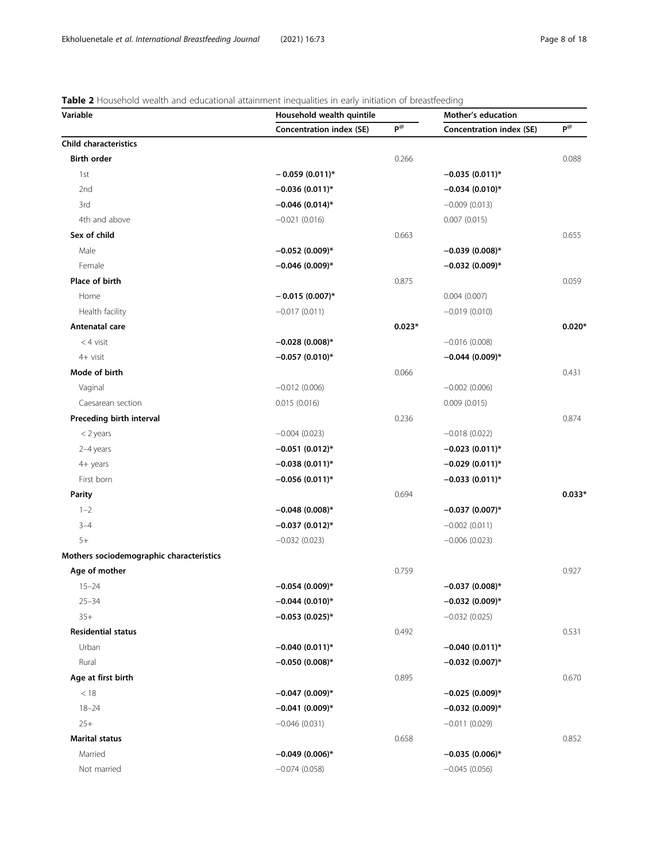# <span id="page-7-0"></span>Table 2 Household wealth and educational attainment inequalities in early initiation of breastfeeding

| $P^{\textcircled{\tiny{R}}}$<br>$P^{\textcircled{\tiny{R}}}$<br><b>Concentration index (SE)</b><br>Concentration index (SE)<br><b>Birth order</b><br>0.266<br>0.088<br>1st<br>$-0.059(0.011)^{*}$<br>$-0.035(0.011)^{*}$<br>2nd<br>$-0.034(0.010)*$<br>$-0.036(0.011)^{*}$<br>3rd<br>$-0.046$ (0.014)*<br>$-0.009(0.013)$<br>4th and above<br>$-0.021(0.016)$<br>0.007(0.015)<br>Sex of child<br>0.663<br>0.655<br>Male<br>$-0.052(0.009)*$<br>$-0.039(0.008)$ *<br>Female<br>$-0.046$ (0.009)*<br>$-0.032(0.009)*$<br>Place of birth<br>0.875<br>0.059<br>Home<br>$-0.015(0.007)$ *<br>0.004(0.007)<br>Health facility<br>$-0.017(0.011)$<br>$-0.019(0.010)$<br>Antenatal care<br>$0.023*$<br>$<$ 4 visit<br>$-0.028(0.008)$ *<br>$-0.016(0.008)$<br>4+ visit<br>$-0.057(0.010)*$<br>$-0.044(0.009)$ *<br>Mode of birth<br>0.066<br>0.431<br>Vaginal<br>$-0.012(0.006)$<br>$-0.002(0.006)$<br>Caesarean section<br>0.015(0.016)<br>0.009(0.015)<br>Preceding birth interval<br>0.236<br>0.874<br>$-0.004(0.023)$<br>$-0.018(0.022)$<br>$<$ 2 years<br>2-4 years<br>$-0.051(0.012)$ *<br>$-0.023(0.011)^*$<br>4+ years<br>$-0.038(0.011)^*$<br>$-0.029(0.011)^*$<br>First born<br>$-0.056(0.011)^*$<br>$-0.033(0.011)^*$<br><b>Parity</b><br>0.694<br>$1 - 2$<br>$-0.048(0.008)$ *<br>$-0.037(0.007)$ *<br>$-0.037(0.012)^{*}$<br>$3 - 4$<br>$-0.002(0.011)$<br>$5+$<br>$-0.032(0.023)$<br>$-0.006(0.023)$<br>Age of mother<br>0.927<br>0.759<br>$15 - 24$<br>$-0.037(0.008)$ *<br>$-0.054(0.009)*$<br>$-0.044(0.010)*$<br>$-0.032(0.009)*$<br>$25 - 34$<br>$35+$<br>$-0.053(0.025)$ *<br>$-0.032(0.025)$<br>0.531<br><b>Residential status</b><br>0.492<br>Urban<br>$-0.040(0.011)^*$<br>$-0.040(0.011)*$<br>Rural<br>$-0.032(0.007)*$<br>$-0.050(0.008)$ *<br>Age at first birth<br>0.895<br>0.670<br>$-0.047(0.009)*$<br>$-0.025(0.009)*$<br>< 18<br>$18 - 24$<br>$-0.041(0.009)*$<br>$-0.032(0.009)*$<br>$25+$<br>$-0.046(0.031)$<br>$-0.011(0.029)$<br><b>Marital status</b><br>0.658<br>0.852<br>Married<br>$-0.049(0.006)$ *<br>$-0.035(0.006)$ *<br>Not married<br>$-0.074(0.058)$<br>$-0.045(0.056)$ | Variable                                 | Household wealth quintile | Mother's education |  |          |
|---------------------------------------------------------------------------------------------------------------------------------------------------------------------------------------------------------------------------------------------------------------------------------------------------------------------------------------------------------------------------------------------------------------------------------------------------------------------------------------------------------------------------------------------------------------------------------------------------------------------------------------------------------------------------------------------------------------------------------------------------------------------------------------------------------------------------------------------------------------------------------------------------------------------------------------------------------------------------------------------------------------------------------------------------------------------------------------------------------------------------------------------------------------------------------------------------------------------------------------------------------------------------------------------------------------------------------------------------------------------------------------------------------------------------------------------------------------------------------------------------------------------------------------------------------------------------------------------------------------------------------------------------------------------------------------------------------------------------------------------------------------------------------------------------------------------------------------------------------------------------------------------------------------------------------------------------------------------------------------------------------------------------------------------------------------------------------------------------------------|------------------------------------------|---------------------------|--------------------|--|----------|
|                                                                                                                                                                                                                                                                                                                                                                                                                                                                                                                                                                                                                                                                                                                                                                                                                                                                                                                                                                                                                                                                                                                                                                                                                                                                                                                                                                                                                                                                                                                                                                                                                                                                                                                                                                                                                                                                                                                                                                                                                                                                                                               |                                          |                           |                    |  |          |
|                                                                                                                                                                                                                                                                                                                                                                                                                                                                                                                                                                                                                                                                                                                                                                                                                                                                                                                                                                                                                                                                                                                                                                                                                                                                                                                                                                                                                                                                                                                                                                                                                                                                                                                                                                                                                                                                                                                                                                                                                                                                                                               | <b>Child characteristics</b>             |                           |                    |  |          |
|                                                                                                                                                                                                                                                                                                                                                                                                                                                                                                                                                                                                                                                                                                                                                                                                                                                                                                                                                                                                                                                                                                                                                                                                                                                                                                                                                                                                                                                                                                                                                                                                                                                                                                                                                                                                                                                                                                                                                                                                                                                                                                               |                                          |                           |                    |  |          |
|                                                                                                                                                                                                                                                                                                                                                                                                                                                                                                                                                                                                                                                                                                                                                                                                                                                                                                                                                                                                                                                                                                                                                                                                                                                                                                                                                                                                                                                                                                                                                                                                                                                                                                                                                                                                                                                                                                                                                                                                                                                                                                               |                                          |                           |                    |  |          |
|                                                                                                                                                                                                                                                                                                                                                                                                                                                                                                                                                                                                                                                                                                                                                                                                                                                                                                                                                                                                                                                                                                                                                                                                                                                                                                                                                                                                                                                                                                                                                                                                                                                                                                                                                                                                                                                                                                                                                                                                                                                                                                               |                                          |                           |                    |  |          |
|                                                                                                                                                                                                                                                                                                                                                                                                                                                                                                                                                                                                                                                                                                                                                                                                                                                                                                                                                                                                                                                                                                                                                                                                                                                                                                                                                                                                                                                                                                                                                                                                                                                                                                                                                                                                                                                                                                                                                                                                                                                                                                               |                                          |                           |                    |  |          |
|                                                                                                                                                                                                                                                                                                                                                                                                                                                                                                                                                                                                                                                                                                                                                                                                                                                                                                                                                                                                                                                                                                                                                                                                                                                                                                                                                                                                                                                                                                                                                                                                                                                                                                                                                                                                                                                                                                                                                                                                                                                                                                               |                                          |                           |                    |  |          |
|                                                                                                                                                                                                                                                                                                                                                                                                                                                                                                                                                                                                                                                                                                                                                                                                                                                                                                                                                                                                                                                                                                                                                                                                                                                                                                                                                                                                                                                                                                                                                                                                                                                                                                                                                                                                                                                                                                                                                                                                                                                                                                               |                                          |                           |                    |  |          |
|                                                                                                                                                                                                                                                                                                                                                                                                                                                                                                                                                                                                                                                                                                                                                                                                                                                                                                                                                                                                                                                                                                                                                                                                                                                                                                                                                                                                                                                                                                                                                                                                                                                                                                                                                                                                                                                                                                                                                                                                                                                                                                               |                                          |                           |                    |  |          |
|                                                                                                                                                                                                                                                                                                                                                                                                                                                                                                                                                                                                                                                                                                                                                                                                                                                                                                                                                                                                                                                                                                                                                                                                                                                                                                                                                                                                                                                                                                                                                                                                                                                                                                                                                                                                                                                                                                                                                                                                                                                                                                               |                                          |                           |                    |  |          |
|                                                                                                                                                                                                                                                                                                                                                                                                                                                                                                                                                                                                                                                                                                                                                                                                                                                                                                                                                                                                                                                                                                                                                                                                                                                                                                                                                                                                                                                                                                                                                                                                                                                                                                                                                                                                                                                                                                                                                                                                                                                                                                               |                                          |                           |                    |  |          |
|                                                                                                                                                                                                                                                                                                                                                                                                                                                                                                                                                                                                                                                                                                                                                                                                                                                                                                                                                                                                                                                                                                                                                                                                                                                                                                                                                                                                                                                                                                                                                                                                                                                                                                                                                                                                                                                                                                                                                                                                                                                                                                               |                                          |                           |                    |  |          |
|                                                                                                                                                                                                                                                                                                                                                                                                                                                                                                                                                                                                                                                                                                                                                                                                                                                                                                                                                                                                                                                                                                                                                                                                                                                                                                                                                                                                                                                                                                                                                                                                                                                                                                                                                                                                                                                                                                                                                                                                                                                                                                               |                                          |                           |                    |  |          |
|                                                                                                                                                                                                                                                                                                                                                                                                                                                                                                                                                                                                                                                                                                                                                                                                                                                                                                                                                                                                                                                                                                                                                                                                                                                                                                                                                                                                                                                                                                                                                                                                                                                                                                                                                                                                                                                                                                                                                                                                                                                                                                               |                                          |                           |                    |  | $0.020*$ |
|                                                                                                                                                                                                                                                                                                                                                                                                                                                                                                                                                                                                                                                                                                                                                                                                                                                                                                                                                                                                                                                                                                                                                                                                                                                                                                                                                                                                                                                                                                                                                                                                                                                                                                                                                                                                                                                                                                                                                                                                                                                                                                               |                                          |                           |                    |  |          |
|                                                                                                                                                                                                                                                                                                                                                                                                                                                                                                                                                                                                                                                                                                                                                                                                                                                                                                                                                                                                                                                                                                                                                                                                                                                                                                                                                                                                                                                                                                                                                                                                                                                                                                                                                                                                                                                                                                                                                                                                                                                                                                               |                                          |                           |                    |  |          |
|                                                                                                                                                                                                                                                                                                                                                                                                                                                                                                                                                                                                                                                                                                                                                                                                                                                                                                                                                                                                                                                                                                                                                                                                                                                                                                                                                                                                                                                                                                                                                                                                                                                                                                                                                                                                                                                                                                                                                                                                                                                                                                               |                                          |                           |                    |  |          |
|                                                                                                                                                                                                                                                                                                                                                                                                                                                                                                                                                                                                                                                                                                                                                                                                                                                                                                                                                                                                                                                                                                                                                                                                                                                                                                                                                                                                                                                                                                                                                                                                                                                                                                                                                                                                                                                                                                                                                                                                                                                                                                               |                                          |                           |                    |  |          |
|                                                                                                                                                                                                                                                                                                                                                                                                                                                                                                                                                                                                                                                                                                                                                                                                                                                                                                                                                                                                                                                                                                                                                                                                                                                                                                                                                                                                                                                                                                                                                                                                                                                                                                                                                                                                                                                                                                                                                                                                                                                                                                               |                                          |                           |                    |  |          |
|                                                                                                                                                                                                                                                                                                                                                                                                                                                                                                                                                                                                                                                                                                                                                                                                                                                                                                                                                                                                                                                                                                                                                                                                                                                                                                                                                                                                                                                                                                                                                                                                                                                                                                                                                                                                                                                                                                                                                                                                                                                                                                               |                                          |                           |                    |  |          |
|                                                                                                                                                                                                                                                                                                                                                                                                                                                                                                                                                                                                                                                                                                                                                                                                                                                                                                                                                                                                                                                                                                                                                                                                                                                                                                                                                                                                                                                                                                                                                                                                                                                                                                                                                                                                                                                                                                                                                                                                                                                                                                               |                                          |                           |                    |  |          |
|                                                                                                                                                                                                                                                                                                                                                                                                                                                                                                                                                                                                                                                                                                                                                                                                                                                                                                                                                                                                                                                                                                                                                                                                                                                                                                                                                                                                                                                                                                                                                                                                                                                                                                                                                                                                                                                                                                                                                                                                                                                                                                               |                                          |                           |                    |  |          |
|                                                                                                                                                                                                                                                                                                                                                                                                                                                                                                                                                                                                                                                                                                                                                                                                                                                                                                                                                                                                                                                                                                                                                                                                                                                                                                                                                                                                                                                                                                                                                                                                                                                                                                                                                                                                                                                                                                                                                                                                                                                                                                               |                                          |                           |                    |  |          |
|                                                                                                                                                                                                                                                                                                                                                                                                                                                                                                                                                                                                                                                                                                                                                                                                                                                                                                                                                                                                                                                                                                                                                                                                                                                                                                                                                                                                                                                                                                                                                                                                                                                                                                                                                                                                                                                                                                                                                                                                                                                                                                               |                                          |                           |                    |  |          |
|                                                                                                                                                                                                                                                                                                                                                                                                                                                                                                                                                                                                                                                                                                                                                                                                                                                                                                                                                                                                                                                                                                                                                                                                                                                                                                                                                                                                                                                                                                                                                                                                                                                                                                                                                                                                                                                                                                                                                                                                                                                                                                               |                                          |                           |                    |  | $0.033*$ |
|                                                                                                                                                                                                                                                                                                                                                                                                                                                                                                                                                                                                                                                                                                                                                                                                                                                                                                                                                                                                                                                                                                                                                                                                                                                                                                                                                                                                                                                                                                                                                                                                                                                                                                                                                                                                                                                                                                                                                                                                                                                                                                               |                                          |                           |                    |  |          |
|                                                                                                                                                                                                                                                                                                                                                                                                                                                                                                                                                                                                                                                                                                                                                                                                                                                                                                                                                                                                                                                                                                                                                                                                                                                                                                                                                                                                                                                                                                                                                                                                                                                                                                                                                                                                                                                                                                                                                                                                                                                                                                               |                                          |                           |                    |  |          |
|                                                                                                                                                                                                                                                                                                                                                                                                                                                                                                                                                                                                                                                                                                                                                                                                                                                                                                                                                                                                                                                                                                                                                                                                                                                                                                                                                                                                                                                                                                                                                                                                                                                                                                                                                                                                                                                                                                                                                                                                                                                                                                               |                                          |                           |                    |  |          |
|                                                                                                                                                                                                                                                                                                                                                                                                                                                                                                                                                                                                                                                                                                                                                                                                                                                                                                                                                                                                                                                                                                                                                                                                                                                                                                                                                                                                                                                                                                                                                                                                                                                                                                                                                                                                                                                                                                                                                                                                                                                                                                               | Mothers sociodemographic characteristics |                           |                    |  |          |
|                                                                                                                                                                                                                                                                                                                                                                                                                                                                                                                                                                                                                                                                                                                                                                                                                                                                                                                                                                                                                                                                                                                                                                                                                                                                                                                                                                                                                                                                                                                                                                                                                                                                                                                                                                                                                                                                                                                                                                                                                                                                                                               |                                          |                           |                    |  |          |
|                                                                                                                                                                                                                                                                                                                                                                                                                                                                                                                                                                                                                                                                                                                                                                                                                                                                                                                                                                                                                                                                                                                                                                                                                                                                                                                                                                                                                                                                                                                                                                                                                                                                                                                                                                                                                                                                                                                                                                                                                                                                                                               |                                          |                           |                    |  |          |
|                                                                                                                                                                                                                                                                                                                                                                                                                                                                                                                                                                                                                                                                                                                                                                                                                                                                                                                                                                                                                                                                                                                                                                                                                                                                                                                                                                                                                                                                                                                                                                                                                                                                                                                                                                                                                                                                                                                                                                                                                                                                                                               |                                          |                           |                    |  |          |
|                                                                                                                                                                                                                                                                                                                                                                                                                                                                                                                                                                                                                                                                                                                                                                                                                                                                                                                                                                                                                                                                                                                                                                                                                                                                                                                                                                                                                                                                                                                                                                                                                                                                                                                                                                                                                                                                                                                                                                                                                                                                                                               |                                          |                           |                    |  |          |
|                                                                                                                                                                                                                                                                                                                                                                                                                                                                                                                                                                                                                                                                                                                                                                                                                                                                                                                                                                                                                                                                                                                                                                                                                                                                                                                                                                                                                                                                                                                                                                                                                                                                                                                                                                                                                                                                                                                                                                                                                                                                                                               |                                          |                           |                    |  |          |
|                                                                                                                                                                                                                                                                                                                                                                                                                                                                                                                                                                                                                                                                                                                                                                                                                                                                                                                                                                                                                                                                                                                                                                                                                                                                                                                                                                                                                                                                                                                                                                                                                                                                                                                                                                                                                                                                                                                                                                                                                                                                                                               |                                          |                           |                    |  |          |
|                                                                                                                                                                                                                                                                                                                                                                                                                                                                                                                                                                                                                                                                                                                                                                                                                                                                                                                                                                                                                                                                                                                                                                                                                                                                                                                                                                                                                                                                                                                                                                                                                                                                                                                                                                                                                                                                                                                                                                                                                                                                                                               |                                          |                           |                    |  |          |
|                                                                                                                                                                                                                                                                                                                                                                                                                                                                                                                                                                                                                                                                                                                                                                                                                                                                                                                                                                                                                                                                                                                                                                                                                                                                                                                                                                                                                                                                                                                                                                                                                                                                                                                                                                                                                                                                                                                                                                                                                                                                                                               |                                          |                           |                    |  |          |
|                                                                                                                                                                                                                                                                                                                                                                                                                                                                                                                                                                                                                                                                                                                                                                                                                                                                                                                                                                                                                                                                                                                                                                                                                                                                                                                                                                                                                                                                                                                                                                                                                                                                                                                                                                                                                                                                                                                                                                                                                                                                                                               |                                          |                           |                    |  |          |
|                                                                                                                                                                                                                                                                                                                                                                                                                                                                                                                                                                                                                                                                                                                                                                                                                                                                                                                                                                                                                                                                                                                                                                                                                                                                                                                                                                                                                                                                                                                                                                                                                                                                                                                                                                                                                                                                                                                                                                                                                                                                                                               |                                          |                           |                    |  |          |
|                                                                                                                                                                                                                                                                                                                                                                                                                                                                                                                                                                                                                                                                                                                                                                                                                                                                                                                                                                                                                                                                                                                                                                                                                                                                                                                                                                                                                                                                                                                                                                                                                                                                                                                                                                                                                                                                                                                                                                                                                                                                                                               |                                          |                           |                    |  |          |
|                                                                                                                                                                                                                                                                                                                                                                                                                                                                                                                                                                                                                                                                                                                                                                                                                                                                                                                                                                                                                                                                                                                                                                                                                                                                                                                                                                                                                                                                                                                                                                                                                                                                                                                                                                                                                                                                                                                                                                                                                                                                                                               |                                          |                           |                    |  |          |
|                                                                                                                                                                                                                                                                                                                                                                                                                                                                                                                                                                                                                                                                                                                                                                                                                                                                                                                                                                                                                                                                                                                                                                                                                                                                                                                                                                                                                                                                                                                                                                                                                                                                                                                                                                                                                                                                                                                                                                                                                                                                                                               |                                          |                           |                    |  |          |
|                                                                                                                                                                                                                                                                                                                                                                                                                                                                                                                                                                                                                                                                                                                                                                                                                                                                                                                                                                                                                                                                                                                                                                                                                                                                                                                                                                                                                                                                                                                                                                                                                                                                                                                                                                                                                                                                                                                                                                                                                                                                                                               |                                          |                           |                    |  |          |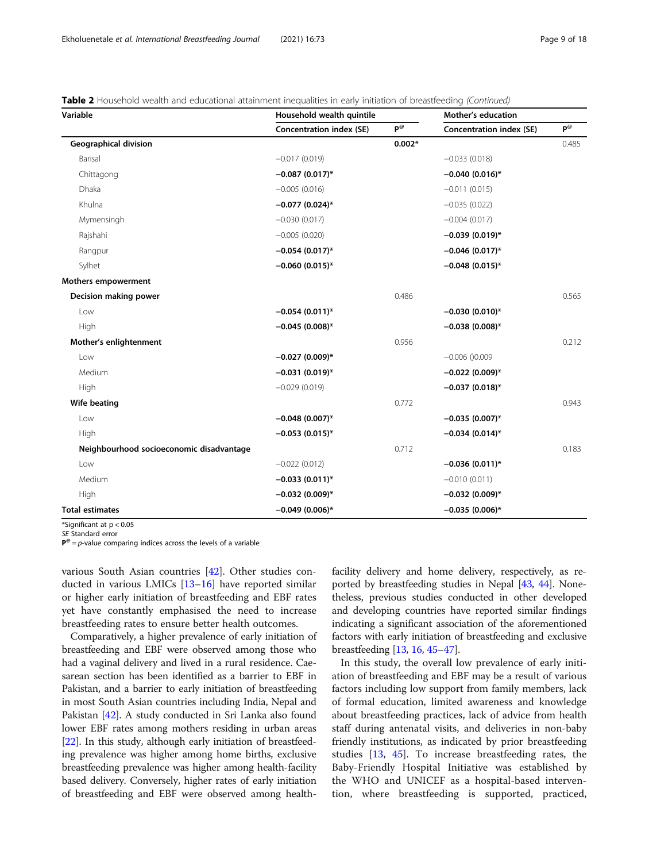|  | Table 2 Household wealth and educational attainment inequalities in early initiation of breastfeeding (Continued) |  |  |  |
|--|-------------------------------------------------------------------------------------------------------------------|--|--|--|
|  |                                                                                                                   |  |  |  |

| Variable                                 | Household wealth quintile       |                              | Mother's education              |                    |  |
|------------------------------------------|---------------------------------|------------------------------|---------------------------------|--------------------|--|
|                                          | <b>Concentration index (SE)</b> | $P^{\textcircled{\tiny{R}}}$ | <b>Concentration index (SE)</b> | $P^{\circledcirc}$ |  |
| <b>Geographical division</b>             |                                 | $0.002*$                     |                                 | 0.485              |  |
| Barisal                                  | $-0.017(0.019)$                 |                              | $-0.033(0.018)$                 |                    |  |
| Chittagong                               | $-0.087(0.017)^*$               |                              | $-0.040(0.016)*$                |                    |  |
| Dhaka                                    | $-0.005(0.016)$                 |                              | $-0.011(0.015)$                 |                    |  |
| Khulna                                   | $-0.077$ (0.024)*               |                              | $-0.035(0.022)$                 |                    |  |
| Mymensingh                               | $-0.030(0.017)$                 |                              | $-0.004(0.017)$                 |                    |  |
| Rajshahi                                 | $-0.005(0.020)$                 |                              | $-0.039(0.019)$ *               |                    |  |
| Rangpur                                  | $-0.054(0.017)$ *               |                              | $-0.046$ (0.017)*               |                    |  |
| Sylhet                                   | $-0.060(0.015)$ *               |                              | $-0.048(0.015)*$                |                    |  |
| <b>Mothers empowerment</b>               |                                 |                              |                                 |                    |  |
| Decision making power                    |                                 | 0.486                        |                                 | 0.565              |  |
| Low                                      | $-0.054(0.011)*$                |                              | $-0.030(0.010)*$                |                    |  |
| High                                     | $-0.045(0.008)$ *               |                              | $-0.038(0.008)$ *               |                    |  |
| Mother's enlightenment                   |                                 | 0.956                        |                                 | 0.212              |  |
| Low                                      | $-0.027(0.009)*$                |                              | $-0.006$ () $0.009$             |                    |  |
| Medium                                   | $-0.031(0.019)$ *               |                              | $-0.022(0.009)*$                |                    |  |
| <b>High</b>                              | $-0.029(0.019)$                 |                              | $-0.037(0.018)$ *               |                    |  |
| Wife beating                             |                                 | 0.772                        |                                 | 0.943              |  |
| Low                                      | $-0.048(0.007)$ *               |                              | $-0.035(0.007)$ *               |                    |  |
| High                                     | $-0.053(0.015)^*$               |                              | $-0.034(0.014)$ *               |                    |  |
| Neighbourhood socioeconomic disadvantage |                                 | 0.712                        |                                 | 0.183              |  |
| Low                                      | $-0.022(0.012)$                 |                              | $-0.036(0.011)^{*}$             |                    |  |
| Medium                                   | $-0.033(0.011)^*$               |                              | $-0.010(0.011)$                 |                    |  |
| High                                     | $-0.032(0.009)*$                |                              | $-0.032(0.009)*$                |                    |  |
| <b>Total estimates</b>                   | $-0.049(0.006)$ *               |                              | $-0.035(0.006)$ *               |                    |  |

\*Significant at p < 0.05

SE Standard error

 ${\bf P}^{\otimes} = p$ -value comparing indices across the levels of a variable

various South Asian countries [\[42](#page-16-0)]. Other studies conducted in various LMICs [[13](#page-15-0)–[16](#page-15-0)] have reported similar or higher early initiation of breastfeeding and EBF rates yet have constantly emphasised the need to increase breastfeeding rates to ensure better health outcomes.

Comparatively, a higher prevalence of early initiation of breastfeeding and EBF were observed among those who had a vaginal delivery and lived in a rural residence. Caesarean section has been identified as a barrier to EBF in Pakistan, and a barrier to early initiation of breastfeeding in most South Asian countries including India, Nepal and Pakistan [[42](#page-16-0)]. A study conducted in Sri Lanka also found lower EBF rates among mothers residing in urban areas [[22](#page-15-0)]. In this study, although early initiation of breastfeeding prevalence was higher among home births, exclusive breastfeeding prevalence was higher among health-facility based delivery. Conversely, higher rates of early initiation of breastfeeding and EBF were observed among healthfacility delivery and home delivery, respectively, as reported by breastfeeding studies in Nepal [[43](#page-16-0), [44\]](#page-16-0). Nonetheless, previous studies conducted in other developed and developing countries have reported similar findings indicating a significant association of the aforementioned factors with early initiation of breastfeeding and exclusive breastfeeding [\[13,](#page-15-0) [16](#page-15-0), [45](#page-16-0)–[47](#page-16-0)].

In this study, the overall low prevalence of early initiation of breastfeeding and EBF may be a result of various factors including low support from family members, lack of formal education, limited awareness and knowledge about breastfeeding practices, lack of advice from health staff during antenatal visits, and deliveries in non-baby friendly institutions, as indicated by prior breastfeeding studies [\[13,](#page-15-0) [45\]](#page-16-0). To increase breastfeeding rates, the Baby-Friendly Hospital Initiative was established by the WHO and UNICEF as a hospital-based intervention, where breastfeeding is supported, practiced,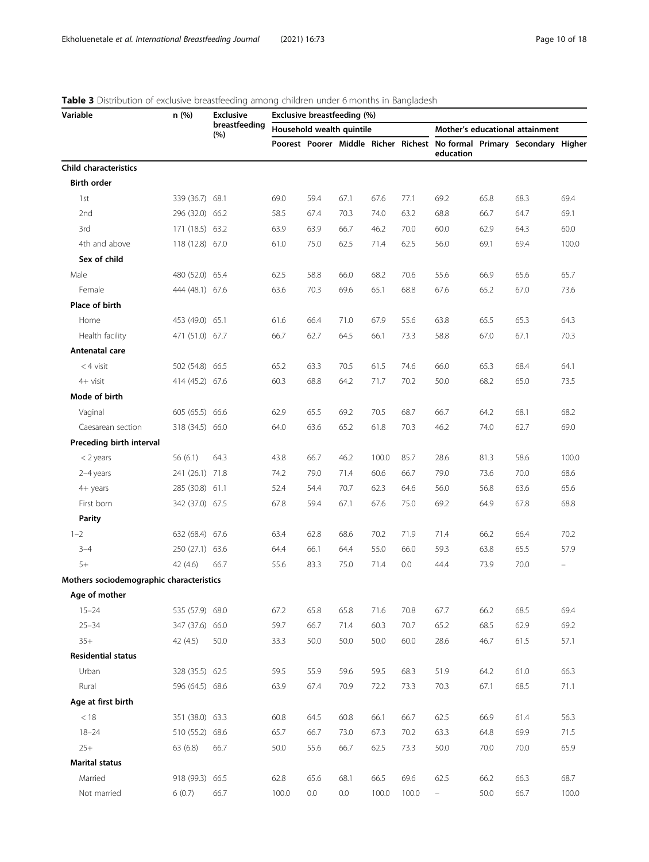| Variable                                 | n (%)           | <b>Exclusive</b><br>breastfeeding<br>(%) | Exclusive breastfeeding (%) |      |      |       |       |           |      |                                                                         |       |  |
|------------------------------------------|-----------------|------------------------------------------|-----------------------------|------|------|-------|-------|-----------|------|-------------------------------------------------------------------------|-------|--|
|                                          |                 |                                          | Household wealth quintile   |      |      |       |       |           |      | Mother's educational attainment                                         |       |  |
|                                          |                 |                                          |                             |      |      |       |       | education |      | Poorest Poorer Middle Richer Richest No formal Primary Secondary Higher |       |  |
| <b>Child characteristics</b>             |                 |                                          |                             |      |      |       |       |           |      |                                                                         |       |  |
| <b>Birth order</b>                       |                 |                                          |                             |      |      |       |       |           |      |                                                                         |       |  |
| 1st                                      | 339 (36.7) 68.1 |                                          | 69.0                        | 59.4 | 67.1 | 67.6  | 77.1  | 69.2      | 65.8 | 68.3                                                                    | 69.4  |  |
| 2nd                                      | 296 (32.0) 66.2 |                                          | 58.5                        | 67.4 | 70.3 | 74.0  | 63.2  | 68.8      | 66.7 | 64.7                                                                    | 69.1  |  |
| 3rd                                      | 171 (18.5) 63.2 |                                          | 63.9                        | 63.9 | 66.7 | 46.2  | 70.0  | 60.0      | 62.9 | 64.3                                                                    | 60.0  |  |
| 4th and above                            | 118 (12.8) 67.0 |                                          | 61.0                        | 75.0 | 62.5 | 71.4  | 62.5  | 56.0      | 69.1 | 69.4                                                                    | 100.0 |  |
| Sex of child                             |                 |                                          |                             |      |      |       |       |           |      |                                                                         |       |  |
| Male                                     | 480 (52.0) 65.4 |                                          | 62.5                        | 58.8 | 66.0 | 68.2  | 70.6  | 55.6      | 66.9 | 65.6                                                                    | 65.7  |  |
| Female                                   | 444 (48.1) 67.6 |                                          | 63.6                        | 70.3 | 69.6 | 65.1  | 68.8  | 67.6      | 65.2 | 67.0                                                                    | 73.6  |  |
| Place of birth                           |                 |                                          |                             |      |      |       |       |           |      |                                                                         |       |  |
| Home                                     | 453 (49.0) 65.1 |                                          | 61.6                        | 66.4 | 71.0 | 67.9  | 55.6  | 63.8      | 65.5 | 65.3                                                                    | 64.3  |  |
| Health facility                          | 471 (51.0) 67.7 |                                          | 66.7                        | 62.7 | 64.5 | 66.1  | 73.3  | 58.8      | 67.0 | 67.1                                                                    | 70.3  |  |
| Antenatal care                           |                 |                                          |                             |      |      |       |       |           |      |                                                                         |       |  |
| $<$ 4 visit                              | 502 (54.8) 66.5 |                                          | 65.2                        | 63.3 | 70.5 | 61.5  | 74.6  | 66.0      | 65.3 | 68.4                                                                    | 64.1  |  |
| 4+ visit                                 | 414 (45.2) 67.6 |                                          | 60.3                        | 68.8 | 64.2 | 71.7  | 70.2  | 50.0      | 68.2 | 65.0                                                                    | 73.5  |  |
| Mode of birth                            |                 |                                          |                             |      |      |       |       |           |      |                                                                         |       |  |
| Vaginal                                  | 605 (65.5) 66.6 |                                          | 62.9                        | 65.5 | 69.2 | 70.5  | 68.7  | 66.7      | 64.2 | 68.1                                                                    | 68.2  |  |
| Caesarean section                        | 318 (34.5) 66.0 |                                          | 64.0                        | 63.6 | 65.2 | 61.8  | 70.3  | 46.2      | 74.0 | 62.7                                                                    | 69.0  |  |
| Preceding birth interval                 |                 |                                          |                             |      |      |       |       |           |      |                                                                         |       |  |
| $<$ 2 years                              | 56(6.1)         | 64.3                                     | 43.8                        | 66.7 | 46.2 | 100.0 | 85.7  | 28.6      | 81.3 | 58.6                                                                    | 100.0 |  |
| 2-4 years                                | 241 (26.1) 71.8 |                                          | 74.2                        | 79.0 | 71.4 | 60.6  | 66.7  | 79.0      | 73.6 | 70.0                                                                    | 68.6  |  |
| 4+ years                                 | 285 (30.8) 61.1 |                                          | 52.4                        | 54.4 | 70.7 | 62.3  | 64.6  | 56.0      | 56.8 | 63.6                                                                    | 65.6  |  |
| First born                               | 342 (37.0) 67.5 |                                          | 67.8                        | 59.4 | 67.1 | 67.6  | 75.0  | 69.2      | 64.9 | 67.8                                                                    | 68.8  |  |
| <b>Parity</b>                            |                 |                                          |                             |      |      |       |       |           |      |                                                                         |       |  |
| $1 - 2$                                  | 632 (68.4) 67.6 |                                          | 63.4                        | 62.8 | 68.6 | 70.2  | 71.9  | 71.4      | 66.2 | 66.4                                                                    | 70.2  |  |
| $3 - 4$                                  | 250 (27.1) 63.6 |                                          | 64.4                        | 66.1 | 64.4 | 55.0  | 66.0  | 59.3      | 63.8 | 65.5                                                                    | 57.9  |  |
| $5+$                                     | 42 (4.6)        | 66.7                                     | 55.6                        | 83.3 | 75.0 | 71.4  | 0.0   | 44.4      | 73.9 | 70.0                                                                    |       |  |
| Mothers sociodemographic characteristics |                 |                                          |                             |      |      |       |       |           |      |                                                                         |       |  |
| Age of mother                            |                 |                                          |                             |      |      |       |       |           |      |                                                                         |       |  |
| $15 - 24$                                | 535 (57.9) 68.0 |                                          | 67.2                        | 65.8 | 65.8 | 71.6  | 70.8  | 67.7      | 66.2 | 68.5                                                                    | 69.4  |  |
| $25 - 34$                                | 347 (37.6) 66.0 |                                          | 59.7                        | 66.7 | 71.4 | 60.3  | 70.7  | 65.2      | 68.5 | 62.9                                                                    | 69.2  |  |
| $35+$                                    | 42 (4.5)        | 50.0                                     | 33.3                        | 50.0 | 50.0 | 50.0  | 60.0  | 28.6      | 46.7 | 61.5                                                                    | 57.1  |  |
| <b>Residential status</b>                |                 |                                          |                             |      |      |       |       |           |      |                                                                         |       |  |
| Urban                                    | 328 (35.5) 62.5 |                                          | 59.5                        | 55.9 | 59.6 | 59.5  | 68.3  | 51.9      | 64.2 | 61.0                                                                    | 66.3  |  |
| Rural                                    | 596 (64.5) 68.6 |                                          | 63.9                        | 67.4 | 70.9 | 72.2  | 73.3  | 70.3      | 67.1 | 68.5                                                                    | 71.1  |  |
| Age at first birth                       |                 |                                          |                             |      |      |       |       |           |      |                                                                         |       |  |
| $<18$                                    | 351 (38.0) 63.3 |                                          | 60.8                        | 64.5 | 60.8 | 66.1  | 66.7  | 62.5      | 66.9 | 61.4                                                                    | 56.3  |  |
| $18 - 24$                                | 510 (55.2) 68.6 |                                          | 65.7                        | 66.7 | 73.0 | 67.3  | 70.2  | 63.3      | 64.8 | 69.9                                                                    | 71.5  |  |
| $25+$                                    | 63(6.8)         | 66.7                                     | 50.0                        | 55.6 | 66.7 | 62.5  | 73.3  | 50.0      | 70.0 | 70.0                                                                    | 65.9  |  |
| <b>Marital status</b>                    |                 |                                          |                             |      |      |       |       |           |      |                                                                         |       |  |
| Married                                  | 918 (99.3) 66.5 |                                          | 62.8                        | 65.6 | 68.1 | 66.5  | 69.6  | 62.5      | 66.2 | 66.3                                                                    | 68.7  |  |
| Not married                              | 6(0.7)          | 66.7                                     | 100.0                       | 0.0  | 0.0  | 100.0 | 100.0 | $\equiv$  | 50.0 | 66.7                                                                    | 100.0 |  |

# <span id="page-9-0"></span>Table 3 Distribution of exclusive breastfeeding among children under 6 months in Bangladesh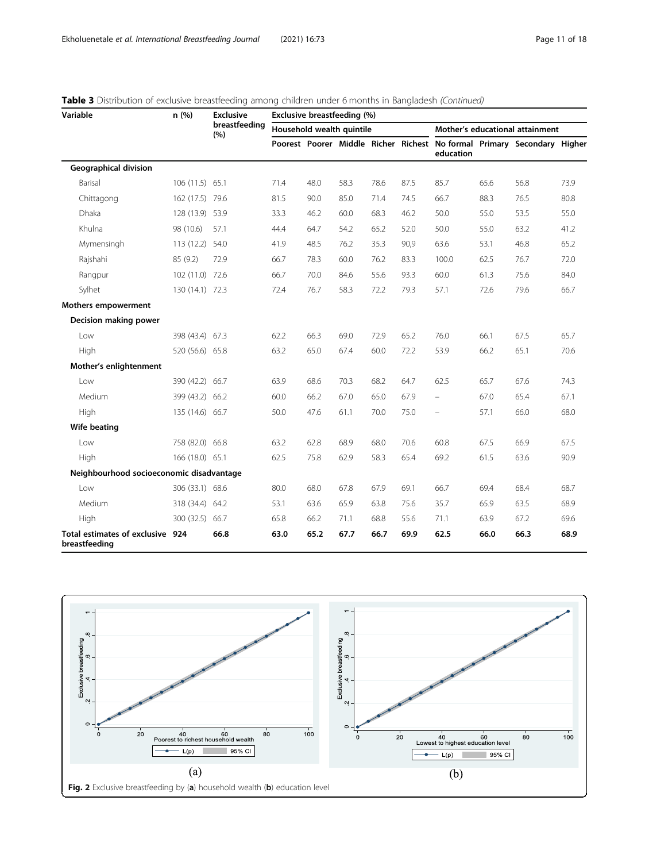| Variable                                          | n(%)            | <b>Exclusive</b><br>breastfeeding<br>(%) | Exclusive breastfeeding (%) |      |                           |      |      |                          |      |                                                                         |      |  |
|---------------------------------------------------|-----------------|------------------------------------------|-----------------------------|------|---------------------------|------|------|--------------------------|------|-------------------------------------------------------------------------|------|--|
|                                                   |                 |                                          |                             |      | Household wealth quintile |      |      |                          |      | Mother's educational attainment                                         |      |  |
|                                                   |                 |                                          |                             |      |                           |      |      | education                |      | Poorest Poorer Middle Richer Richest No formal Primary Secondary Higher |      |  |
| <b>Geographical division</b>                      |                 |                                          |                             |      |                           |      |      |                          |      |                                                                         |      |  |
| Barisal                                           | 106 (11.5) 65.1 |                                          | 71.4                        | 48.0 | 58.3                      | 78.6 | 87.5 | 85.7                     | 65.6 | 56.8                                                                    | 73.9 |  |
| Chittagong                                        | 162 (17.5) 79.6 |                                          | 81.5                        | 90.0 | 85.0                      | 71.4 | 74.5 | 66.7                     | 88.3 | 76.5                                                                    | 80.8 |  |
| Dhaka                                             | 128 (13.9) 53.9 |                                          | 33.3                        | 46.2 | 60.0                      | 68.3 | 46.2 | 50.0                     | 55.0 | 53.5                                                                    | 55.0 |  |
| Khulna                                            | 98 (10.6)       | 57.1                                     | 44.4                        | 64.7 | 54.2                      | 65.2 | 52.0 | 50.0                     | 55.0 | 63.2                                                                    | 41.2 |  |
| Mymensingh                                        | 113 (12.2) 54.0 |                                          | 41.9                        | 48.5 | 76.2                      | 35.3 | 90,9 | 63.6                     | 53.1 | 46.8                                                                    | 65.2 |  |
| Rajshahi                                          | 85 (9.2)        | 72.9                                     | 66.7                        | 78.3 | 60.0                      | 76.2 | 83.3 | 100.0                    | 62.5 | 76.7                                                                    | 72.0 |  |
| Rangpur                                           | 102 (11.0) 72.6 |                                          | 66.7                        | 70.0 | 84.6                      | 55.6 | 93.3 | 60.0                     | 61.3 | 75.6                                                                    | 84.0 |  |
| Sylhet                                            | 130 (14.1) 72.3 |                                          | 72.4                        | 76.7 | 58.3                      | 72.2 | 79.3 | 57.1                     | 72.6 | 79.6                                                                    | 66.7 |  |
| Mothers empowerment                               |                 |                                          |                             |      |                           |      |      |                          |      |                                                                         |      |  |
| Decision making power                             |                 |                                          |                             |      |                           |      |      |                          |      |                                                                         |      |  |
| Low                                               | 398 (43.4) 67.3 |                                          | 62.2                        | 66.3 | 69.0                      | 72.9 | 65.2 | 76.0                     | 66.1 | 67.5                                                                    | 65.7 |  |
| High                                              | 520 (56.6) 65.8 |                                          | 63.2                        | 65.0 | 67.4                      | 60.0 | 72.2 | 53.9                     | 66.2 | 65.1                                                                    | 70.6 |  |
| Mother's enlightenment                            |                 |                                          |                             |      |                           |      |      |                          |      |                                                                         |      |  |
| Low                                               | 390 (42.2) 66.7 |                                          | 63.9                        | 68.6 | 70.3                      | 68.2 | 64.7 | 62.5                     | 65.7 | 67.6                                                                    | 74.3 |  |
| Medium                                            | 399 (43.2) 66.2 |                                          | 60.0                        | 66.2 | 67.0                      | 65.0 | 67.9 | $\qquad \qquad -$        | 67.0 | 65.4                                                                    | 67.1 |  |
| High                                              | 135 (14.6) 66.7 |                                          | 50.0                        | 47.6 | 61.1                      | 70.0 | 75.0 | $\overline{\phantom{0}}$ | 57.1 | 66.0                                                                    | 68.0 |  |
| Wife beating                                      |                 |                                          |                             |      |                           |      |      |                          |      |                                                                         |      |  |
| Low                                               | 758 (82.0) 66.8 |                                          | 63.2                        | 62.8 | 68.9                      | 68.0 | 70.6 | 60.8                     | 67.5 | 66.9                                                                    | 67.5 |  |
| High                                              | 166 (18.0) 65.1 |                                          | 62.5                        | 75.8 | 62.9                      | 58.3 | 65.4 | 69.2                     | 61.5 | 63.6                                                                    | 90.9 |  |
| Neighbourhood socioeconomic disadvantage          |                 |                                          |                             |      |                           |      |      |                          |      |                                                                         |      |  |
| l ow                                              | 306 (33.1) 68.6 |                                          | 80.0                        | 68.0 | 67.8                      | 67.9 | 69.1 | 66.7                     | 69.4 | 68.4                                                                    | 68.7 |  |
| Medium                                            | 318 (34.4) 64.2 |                                          | 53.1                        | 63.6 | 65.9                      | 63.8 | 75.6 | 35.7                     | 65.9 | 63.5                                                                    | 68.9 |  |
| High                                              | 300 (32.5) 66.7 |                                          | 65.8                        | 66.2 | 71.1                      | 68.8 | 55.6 | 71.1                     | 63.9 | 67.2                                                                    | 69.6 |  |
| Total estimates of exclusive 924<br>breastfeeding |                 | 66.8                                     | 63.0                        | 65.2 | 67.7                      | 66.7 | 69.9 | 62.5                     | 66.0 | 66.3                                                                    | 68.9 |  |

# <span id="page-10-0"></span>Table 3 Distribution of exclusive breastfeeding among children under 6 months in Bangladesh (Continued)

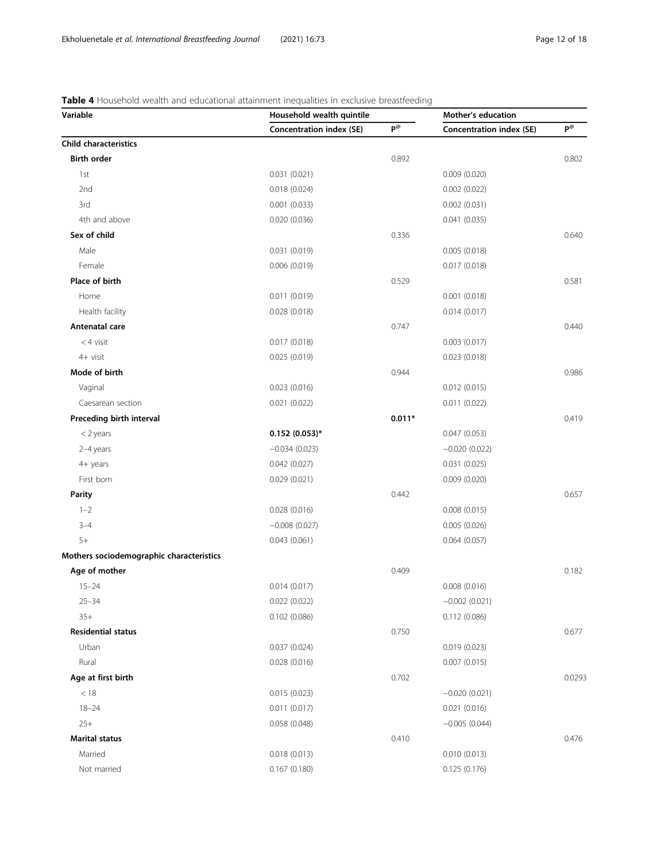# <span id="page-11-0"></span>Table 4 Household wealth and educational attainment inequalities in exclusive breastfeeding

| Variable                                 | Household wealth quintile       | Mother's education |                                 |                                       |
|------------------------------------------|---------------------------------|--------------------|---------------------------------|---------------------------------------|
|                                          | <b>Concentration index (SE)</b> | $P^{\omega}$       | <b>Concentration index (SE)</b> | $\mathsf{P}^{\textcircled{\tiny{0}}}$ |
| <b>Child characteristics</b>             |                                 |                    |                                 |                                       |
| <b>Birth order</b>                       |                                 | 0.892              |                                 | 0.802                                 |
| 1st                                      | 0.031(0.021)                    |                    | 0.009(0.020)                    |                                       |
| 2nd                                      | 0.018(0.024)                    |                    | 0.002(0.022)                    |                                       |
| 3rd                                      | 0.001(0.033)                    |                    | 0.002(0.031)                    |                                       |
| 4th and above                            | 0.020(0.036)                    |                    | 0.041(0.035)                    |                                       |
| Sex of child                             |                                 | 0.336              |                                 | 0.640                                 |
| Male                                     | 0.031(0.019)                    |                    | 0.005(0.018)                    |                                       |
| Female                                   | 0.006(0.019)                    |                    | 0.017(0.018)                    |                                       |
| Place of birth                           |                                 | 0.529              |                                 | 0.581                                 |
| Home                                     | 0.011(0.019)                    |                    | 0.001(0.018)                    |                                       |
| Health facility                          | 0.028(0.018)                    |                    | 0.014(0.017)                    |                                       |
| Antenatal care                           |                                 | 0.747              |                                 | 0.440                                 |
| $<$ 4 visit                              | 0.017(0.018)                    |                    | 0.003(0.017)                    |                                       |
| 4+ visit                                 | 0.025(0.019)                    |                    | 0.023(0.018)                    |                                       |
| Mode of birth                            |                                 | 0.944              |                                 | 0.986                                 |
| Vaginal                                  | 0.023(0.016)                    |                    | 0.012(0.015)                    |                                       |
| Caesarean section                        | 0.021(0.022)                    |                    | 0.011(0.022)                    |                                       |
| Preceding birth interval                 |                                 | $0.011*$           |                                 | 0.419                                 |
| $<$ 2 years                              | $0.152(0.053)*$                 |                    | 0.047(0.053)                    |                                       |
| 2-4 years                                | $-0.034(0.023)$                 |                    | $-0.020(0.022)$                 |                                       |
| 4+ years                                 | 0.042(0.027)                    |                    | 0.031(0.025)                    |                                       |
| First born                               | 0.029(0.021)                    |                    | 0.009(0.020)                    |                                       |
| <b>Parity</b>                            |                                 | 0.442              |                                 | 0.657                                 |
| $1 - 2$                                  | 0.028(0.016)                    |                    | 0.008(0.015)                    |                                       |
| $3 - 4$                                  | $-0.008(0.027)$                 |                    | 0.005(0.026)                    |                                       |
| $5+$                                     | 0.043(0.061)                    |                    | 0.064(0.057)                    |                                       |
| Mothers sociodemographic characteristics |                                 |                    |                                 |                                       |
| Age of mother                            |                                 | 0.409              |                                 | 0.182                                 |
| $15 - 24$                                | 0.014(0.017)                    |                    | 0.008(0.016)                    |                                       |
| $25 - 34$                                | 0.022(0.022)                    |                    | $-0.002(0.021)$                 |                                       |
| $35+$                                    | 0.102(0.086)                    |                    | 0.112(0.086)                    |                                       |
| <b>Residential status</b>                |                                 | 0.750              |                                 | 0.677                                 |
| Urban                                    | 0.037(0.024)                    |                    | 0.019(0.023)                    |                                       |
| Rural                                    | 0.028(0.016)                    |                    | 0.007(0.015)                    |                                       |
| Age at first birth                       |                                 | 0.702              |                                 | 0.0293                                |
| $<18$                                    | 0.015(0.023)                    |                    | $-0.020(0.021)$                 |                                       |
| $18 - 24$                                | 0.011(0.017)                    |                    | 0.021(0.016)                    |                                       |
| $25+$                                    | 0.058(0.048)                    |                    | $-0.005(0.044)$                 |                                       |
| <b>Marital status</b>                    |                                 | 0.410              |                                 | 0.476                                 |
| Married                                  | 0.018(0.013)                    |                    | 0.010(0.013)                    |                                       |
| Not married                              | 0.167(0.180)                    |                    | 0.125(0.176)                    |                                       |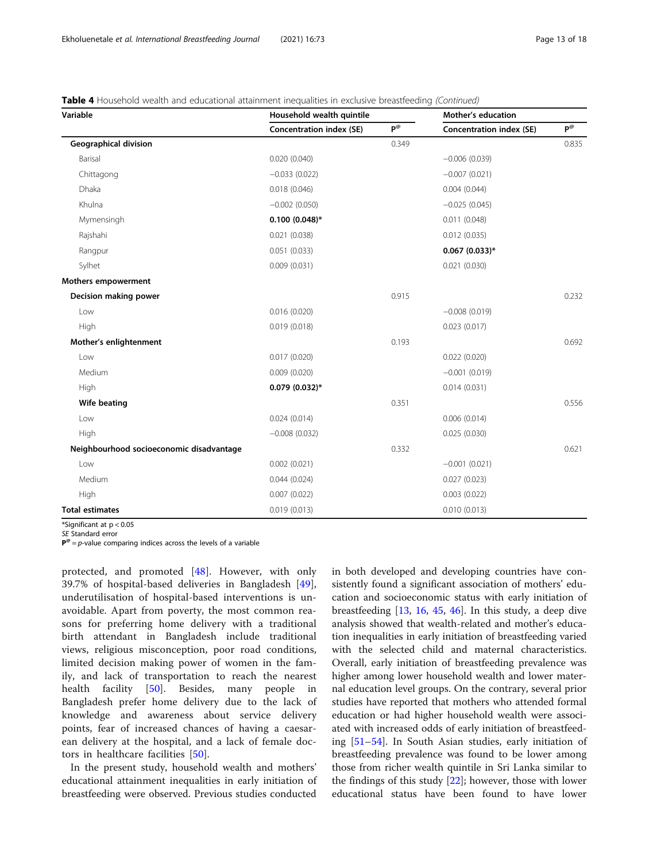|  | Table 4 Household wealth and educational attainment inequalities in exclusive breastfeeding (Continued) |  |  |  |
|--|---------------------------------------------------------------------------------------------------------|--|--|--|
|  |                                                                                                         |  |  |  |

| Variable                                 | Household wealth quintile       |              | Mother's education       |              |
|------------------------------------------|---------------------------------|--------------|--------------------------|--------------|
|                                          | <b>Concentration index (SE)</b> | $P^{\omega}$ | Concentration index (SE) | $P^{\omega}$ |
| Geographical division                    |                                 | 0.349        |                          | 0.835        |
| Barisal                                  | 0.020(0.040)                    |              | $-0.006(0.039)$          |              |
| Chittagong                               | $-0.033(0.022)$                 |              | $-0.007(0.021)$          |              |
| Dhaka                                    | 0.018(0.046)                    |              | 0.004(0.044)             |              |
| Khulna                                   | $-0.002(0.050)$                 |              | $-0.025(0.045)$          |              |
| Mymensingh                               | $0.100(0.048)$ *                |              | 0.011(0.048)             |              |
| Rajshahi                                 | 0.021(0.038)                    |              | 0.012(0.035)             |              |
| Rangpur                                  | 0.051(0.033)                    |              | $0.067$ (0.033)*         |              |
| Sylhet                                   | 0.009(0.031)                    |              | 0.021(0.030)             |              |
| Mothers empowerment                      |                                 |              |                          |              |
| Decision making power                    |                                 | 0.915        |                          | 0.232        |
| Low                                      | 0.016(0.020)                    |              | $-0.008(0.019)$          |              |
| High                                     | 0.019(0.018)                    |              | 0.023(0.017)             |              |
| Mother's enlightenment                   |                                 | 0.193        |                          | 0.692        |
| Low                                      | 0.017(0.020)                    |              | 0.022(0.020)             |              |
| Medium                                   | 0.009(0.020)                    |              | $-0.001(0.019)$          |              |
| High                                     | $0.079(0.032)*$                 |              | 0.014(0.031)             |              |
| Wife beating                             |                                 | 0.351        |                          | 0.556        |
| Low                                      | 0.024(0.014)                    |              | 0.006(0.014)             |              |
| High                                     | $-0.008(0.032)$                 |              | 0.025(0.030)             |              |
| Neighbourhood socioeconomic disadvantage |                                 | 0.332        |                          | 0.621        |
| Low                                      | 0.002(0.021)                    |              | $-0.001(0.021)$          |              |
| Medium                                   | 0.044(0.024)                    |              | 0.027(0.023)             |              |
| High                                     | 0.007(0.022)                    |              | 0.003(0.022)             |              |
| <b>Total estimates</b>                   | 0.019(0.013)                    |              | 0.010(0.013)             |              |

\*Significant at p < 0.05

SE Standard error

 ${\bf P}^{\otimes} = p$ -value comparing indices across the levels of a variable

protected, and promoted [[48\]](#page-16-0). However, with only 39.7% of hospital-based deliveries in Bangladesh [\[49](#page-16-0)], underutilisation of hospital-based interventions is unavoidable. Apart from poverty, the most common reasons for preferring home delivery with a traditional birth attendant in Bangladesh include traditional views, religious misconception, poor road conditions, limited decision making power of women in the family, and lack of transportation to reach the nearest health facility [[50\]](#page-16-0). Besides, many people in Bangladesh prefer home delivery due to the lack of knowledge and awareness about service delivery points, fear of increased chances of having a caesarean delivery at the hospital, and a lack of female doctors in healthcare facilities [[50\]](#page-16-0).

In the present study, household wealth and mothers' educational attainment inequalities in early initiation of breastfeeding were observed. Previous studies conducted in both developed and developing countries have consistently found a significant association of mothers' education and socioeconomic status with early initiation of breastfeeding [[13,](#page-15-0) [16](#page-15-0), [45](#page-16-0), [46\]](#page-16-0). In this study, a deep dive analysis showed that wealth-related and mother's education inequalities in early initiation of breastfeeding varied with the selected child and maternal characteristics. Overall, early initiation of breastfeeding prevalence was higher among lower household wealth and lower maternal education level groups. On the contrary, several prior studies have reported that mothers who attended formal education or had higher household wealth were associated with increased odds of early initiation of breastfeeding [\[51](#page-16-0)–[54\]](#page-16-0). In South Asian studies, early initiation of breastfeeding prevalence was found to be lower among those from richer wealth quintile in Sri Lanka similar to the findings of this study  $[22]$  $[22]$ ; however, those with lower educational status have been found to have lower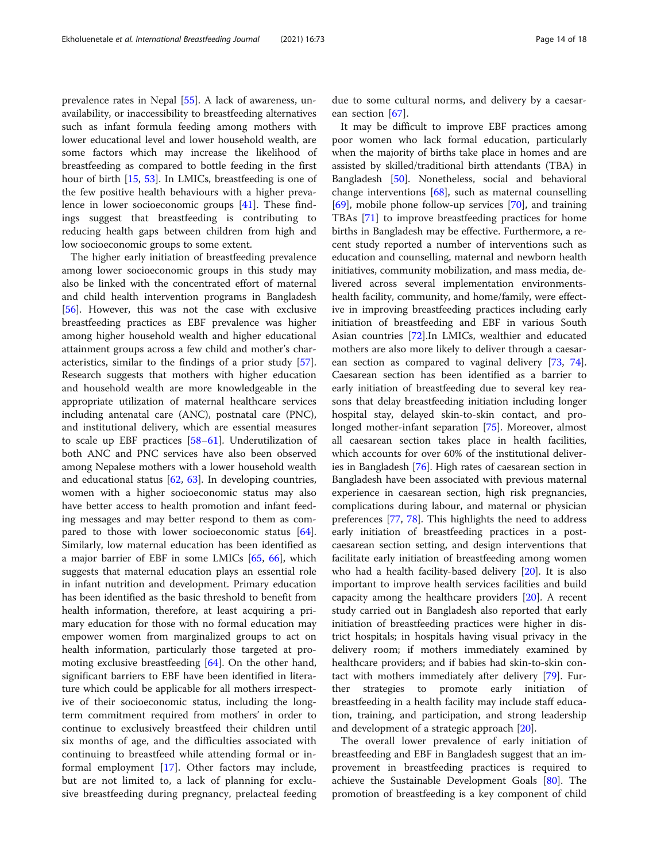prevalence rates in Nepal [[55\]](#page-16-0). A lack of awareness, unavailability, or inaccessibility to breastfeeding alternatives such as infant formula feeding among mothers with lower educational level and lower household wealth, are some factors which may increase the likelihood of breastfeeding as compared to bottle feeding in the first hour of birth [\[15](#page-15-0), [53](#page-16-0)]. In LMICs, breastfeeding is one of the few positive health behaviours with a higher prevalence in lower socioeconomic groups [\[41](#page-16-0)]. These findings suggest that breastfeeding is contributing to reducing health gaps between children from high and low socioeconomic groups to some extent.

The higher early initiation of breastfeeding prevalence among lower socioeconomic groups in this study may also be linked with the concentrated effort of maternal and child health intervention programs in Bangladesh [[56\]](#page-16-0). However, this was not the case with exclusive breastfeeding practices as EBF prevalence was higher among higher household wealth and higher educational attainment groups across a few child and mother's characteristics, similar to the findings of a prior study [\[57](#page-16-0)]. Research suggests that mothers with higher education and household wealth are more knowledgeable in the appropriate utilization of maternal healthcare services including antenatal care (ANC), postnatal care (PNC), and institutional delivery, which are essential measures to scale up EBF practices [[58](#page-16-0)–[61\]](#page-16-0). Underutilization of both ANC and PNC services have also been observed among Nepalese mothers with a lower household wealth and educational status  $[62, 63]$  $[62, 63]$  $[62, 63]$ . In developing countries, women with a higher socioeconomic status may also have better access to health promotion and infant feeding messages and may better respond to them as com-pared to those with lower socioeconomic status [\[64](#page-16-0)]. Similarly, low maternal education has been identified as a major barrier of EBF in some LMICs [[65,](#page-16-0) [66\]](#page-16-0), which suggests that maternal education plays an essential role in infant nutrition and development. Primary education has been identified as the basic threshold to benefit from health information, therefore, at least acquiring a primary education for those with no formal education may empower women from marginalized groups to act on health information, particularly those targeted at promoting exclusive breastfeeding [[64\]](#page-16-0). On the other hand, significant barriers to EBF have been identified in literature which could be applicable for all mothers irrespective of their socioeconomic status, including the longterm commitment required from mothers' in order to continue to exclusively breastfeed their children until six months of age, and the difficulties associated with continuing to breastfeed while attending formal or informal employment [\[17](#page-15-0)]. Other factors may include, but are not limited to, a lack of planning for exclusive breastfeeding during pregnancy, prelacteal feeding

due to some cultural norms, and delivery by a caesarean section [[67\]](#page-16-0).

It may be difficult to improve EBF practices among poor women who lack formal education, particularly when the majority of births take place in homes and are assisted by skilled/traditional birth attendants (TBA) in Bangladesh [\[50](#page-16-0)]. Nonetheless, social and behavioral change interventions [\[68\]](#page-16-0), such as maternal counselling [[69\]](#page-16-0), mobile phone follow-up services [\[70\]](#page-16-0), and training TBAs [[71\]](#page-16-0) to improve breastfeeding practices for home births in Bangladesh may be effective. Furthermore, a recent study reported a number of interventions such as education and counselling, maternal and newborn health initiatives, community mobilization, and mass media, delivered across several implementation environmentshealth facility, community, and home/family, were effective in improving breastfeeding practices including early initiation of breastfeeding and EBF in various South Asian countries [[72](#page-16-0)].In LMICs, wealthier and educated mothers are also more likely to deliver through a caesarean section as compared to vaginal delivery [\[73,](#page-17-0) [74](#page-17-0)]. Caesarean section has been identified as a barrier to early initiation of breastfeeding due to several key reasons that delay breastfeeding initiation including longer hospital stay, delayed skin-to-skin contact, and prolonged mother-infant separation [\[75](#page-17-0)]. Moreover, almost all caesarean section takes place in health facilities, which accounts for over 60% of the institutional deliveries in Bangladesh [[76\]](#page-17-0). High rates of caesarean section in Bangladesh have been associated with previous maternal experience in caesarean section, high risk pregnancies, complications during labour, and maternal or physician preferences [[77,](#page-17-0) [78](#page-17-0)]. This highlights the need to address early initiation of breastfeeding practices in a postcaesarean section setting, and design interventions that facilitate early initiation of breastfeeding among women who had a health facility-based delivery  $[20]$  $[20]$ . It is also important to improve health services facilities and build capacity among the healthcare providers [[20](#page-15-0)]. A recent study carried out in Bangladesh also reported that early initiation of breastfeeding practices were higher in district hospitals; in hospitals having visual privacy in the delivery room; if mothers immediately examined by healthcare providers; and if babies had skin-to-skin contact with mothers immediately after delivery [\[79](#page-17-0)]. Further strategies to promote early initiation of breastfeeding in a health facility may include staff education, training, and participation, and strong leadership and development of a strategic approach [\[20](#page-15-0)].

The overall lower prevalence of early initiation of breastfeeding and EBF in Bangladesh suggest that an improvement in breastfeeding practices is required to achieve the Sustainable Development Goals [[80\]](#page-17-0). The promotion of breastfeeding is a key component of child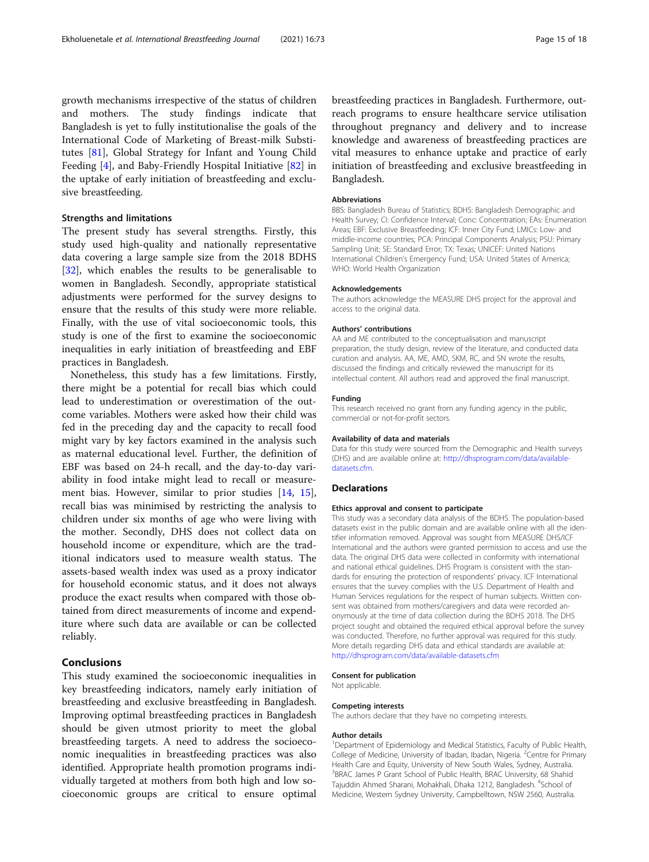growth mechanisms irrespective of the status of children and mothers. The study findings indicate that Bangladesh is yet to fully institutionalise the goals of the International Code of Marketing of Breast-milk Substitutes [\[81\]](#page-17-0), Global Strategy for Infant and Young Child Feeding [[4\]](#page-15-0), and Baby-Friendly Hospital Initiative [\[82](#page-17-0)] in the uptake of early initiation of breastfeeding and exclusive breastfeeding.

# Strengths and limitations

The present study has several strengths. Firstly, this study used high-quality and nationally representative data covering a large sample size from the 2018 BDHS [[32\]](#page-15-0), which enables the results to be generalisable to women in Bangladesh. Secondly, appropriate statistical adjustments were performed for the survey designs to ensure that the results of this study were more reliable. Finally, with the use of vital socioeconomic tools, this study is one of the first to examine the socioeconomic inequalities in early initiation of breastfeeding and EBF practices in Bangladesh.

Nonetheless, this study has a few limitations. Firstly, there might be a potential for recall bias which could lead to underestimation or overestimation of the outcome variables. Mothers were asked how their child was fed in the preceding day and the capacity to recall food might vary by key factors examined in the analysis such as maternal educational level. Further, the definition of EBF was based on 24-h recall, and the day-to-day variability in food intake might lead to recall or measurement bias. However, similar to prior studies [\[14](#page-15-0), [15](#page-15-0)], recall bias was minimised by restricting the analysis to children under six months of age who were living with the mother. Secondly, DHS does not collect data on household income or expenditure, which are the traditional indicators used to measure wealth status. The assets-based wealth index was used as a proxy indicator for household economic status, and it does not always produce the exact results when compared with those obtained from direct measurements of income and expenditure where such data are available or can be collected reliably.

## Conclusions

This study examined the socioeconomic inequalities in key breastfeeding indicators, namely early initiation of breastfeeding and exclusive breastfeeding in Bangladesh. Improving optimal breastfeeding practices in Bangladesh should be given utmost priority to meet the global breastfeeding targets. A need to address the socioeconomic inequalities in breastfeeding practices was also identified. Appropriate health promotion programs individually targeted at mothers from both high and low socioeconomic groups are critical to ensure optimal breastfeeding practices in Bangladesh. Furthermore, outreach programs to ensure healthcare service utilisation throughout pregnancy and delivery and to increase knowledge and awareness of breastfeeding practices are vital measures to enhance uptake and practice of early initiation of breastfeeding and exclusive breastfeeding in Bangladesh.

### Abbreviations

BBS: Bangladesh Bureau of Statistics; BDHS: Bangladesh Demographic and Health Survey; CI: Confidence Interval; Conc: Concentration; EAs: Enumeration Areas; EBF: Exclusive Breastfeeding; ICF: Inner City Fund; LMICs: Low- and middle-income countries; PCA: Principal Components Analysis; PSU: Primary Sampling Unit; SE: Standard Error; TX: Texas; UNICEF: United Nations International Children's Emergency Fund; USA: United States of America; WHO: World Health Organization

## Acknowledgements

The authors acknowledge the MEASURE DHS project for the approval and access to the original data.

#### Authors' contributions

AA and ME contributed to the conceptualisation and manuscript preparation, the study design, review of the literature, and conducted data curation and analysis. AA, ME, AMD, SKM, RC, and SN wrote the results, discussed the findings and critically reviewed the manuscript for its intellectual content. All authors read and approved the final manuscript.

## Funding

This research received no grant from any funding agency in the public, commercial or not-for-profit sectors.

#### Availability of data and materials

Data for this study were sourced from the Demographic and Health surveys (DHS) and are available online at: [http://dhsprogram.com/data/available](http://dhsprogram.com/data/available-datasets.cfm)[datasets.cfm.](http://dhsprogram.com/data/available-datasets.cfm)

## **Declarations**

#### Ethics approval and consent to participate

This study was a secondary data analysis of the BDHS. The population-based datasets exist in the public domain and are available online with all the identifier information removed. Approval was sought from MEASURE DHS/ICF International and the authors were granted permission to access and use the data. The original DHS data were collected in conformity with international and national ethical guidelines. DHS Program is consistent with the standards for ensuring the protection of respondents' privacy. ICF International ensures that the survey complies with the U.S. Department of Health and Human Services regulations for the respect of human subjects. Written consent was obtained from mothers/caregivers and data were recorded anonymously at the time of data collection during the BDHS 2018. The DHS project sought and obtained the required ethical approval before the survey was conducted. Therefore, no further approval was required for this study. More details regarding DHS data and ethical standards are available at: <http://dhsprogram.com/data/available-datasets.cfm>

#### Consent for publication

Not applicable.

#### Competing interests

The authors declare that they have no competing interests.

#### Author details

<sup>1</sup>Department of Epidemiology and Medical Statistics, Faculty of Public Health College of Medicine, University of Ibadan, Ibadan, Nigeria. <sup>2</sup>Centre for Primary Health Care and Equity, University of New South Wales, Sydney, Australia. <sup>3</sup>BRAC James P Grant School of Public Health, BRAC University, 68 Shahid Tajuddin Ahmed Sharani, Mohakhali, Dhaka 1212, Bangladesh. <sup>4</sup>School of Medicine, Western Sydney University, Campbelltown, NSW 2560, Australia.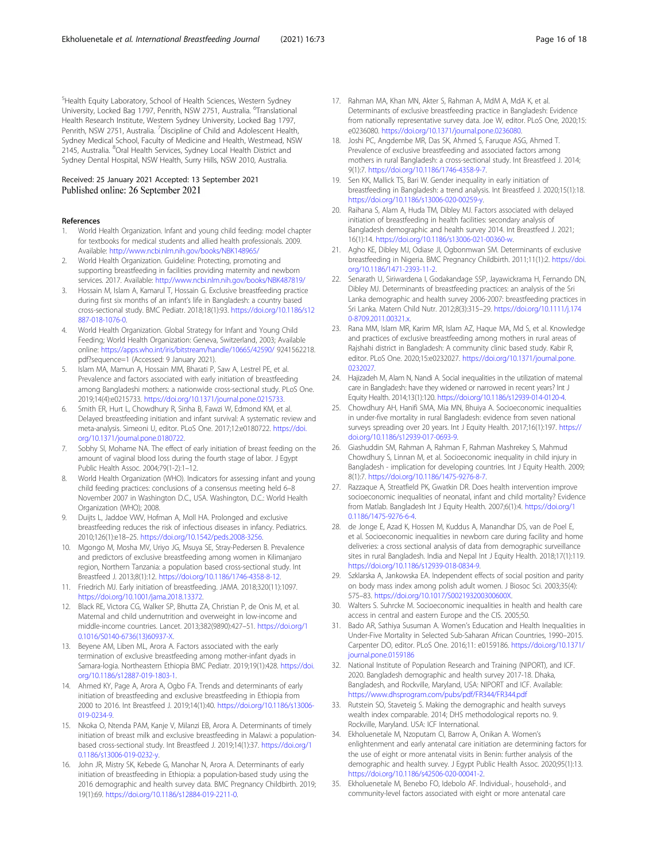<span id="page-15-0"></span>5 Health Equity Laboratory, School of Health Sciences, Western Sydney University, Locked Bag 1797, Penrith, NSW 2751, Australia. <sup>6</sup>Translational Health Research Institute, Western Sydney University, Locked Bag 1797, Penrith, NSW 2751, Australia. <sup>7</sup>Discipline of Child and Adolescent Health, Sydney Medical School, Faculty of Medicine and Health, Westmead, NSW 2145, Australia. <sup>8</sup>Oral Health Services, Sydney Local Health District and Sydney Dental Hospital, NSW Health, Surry Hills, NSW 2010, Australia.

## Received: 25 January 2021 Accepted: 13 September 2021 Published online: 26 September 2021

## References

- 1. World Health Organization. Infant and young child feeding: model chapter for textbooks for medical students and allied health professionals. 2009. Available: <http://www.ncbi.nlm.nih.gov/books/NBK148965/>
- 2. World Health Organization. Guideline: Protecting, promoting and supporting breastfeeding in facilities providing maternity and newborn services. 2017. Available: <http://www.ncbi.nlm.nih.gov/books/NBK487819/>
- 3. Hossain M, Islam A, Kamarul T, Hossain G. Exclusive breastfeeding practice during first six months of an infant's life in Bangladesh: a country based cross-sectional study. BMC Pediatr. 2018;18(1):93. [https://doi.org/10.1186/s12](https://doi.org/10.1186/s12887-018-1076-0) [887-018-1076-0](https://doi.org/10.1186/s12887-018-1076-0).
- 4. World Health Organization. Global Strategy for Infant and Young Child Feeding; World Health Organization: Geneva, Switzerland, 2003; Available online: <https://apps.who.int/iris/bitstream/handle/10665/42590/> 9241562218. pdf?sequence=1 (Accessed: 9 January 2021).
- 5. Islam MA, Mamun A, Hossain MM, Bharati P, Saw A, Lestrel PE, et al. Prevalence and factors associated with early initiation of breastfeeding among Bangladeshi mothers: a nationwide cross-sectional study. PLoS One. 2019;14(4):e0215733. <https://doi.org/10.1371/journal.pone.0215733>.
- 6. Smith ER, Hurt L, Chowdhury R, Sinha B, Fawzi W, Edmond KM, et al. Delayed breastfeeding initiation and infant survival: A systematic review and meta-analysis. Simeoni U, editor. PLoS One. 2017;12:e0180722. [https://doi.](https://doi.org/10.1371/journal.pone.0180722) [org/10.1371/journal.pone.0180722.](https://doi.org/10.1371/journal.pone.0180722)
- 7. Sobhy SI, Mohame NA. The effect of early initiation of breast feeding on the amount of vaginal blood loss during the fourth stage of labor. J Egypt Public Health Assoc. 2004;79(1-2):1–12.
- 8. World Health Organization (WHO). Indicators for assessing infant and young child feeding practices: conclusions of a consensus meeting held 6–8 November 2007 in Washington D.C., USA. Washington, D.C.: World Health Organization (WHO); 2008.
- 9. Duijts L, Jaddoe VWV, Hofman A, Moll HA. Prolonged and exclusive breastfeeding reduces the risk of infectious diseases in infancy. Pediatrics. 2010;126(1):e18–25. [https://doi.org/10.1542/peds.2008-3256.](https://doi.org/10.1542/peds.2008-3256)
- 10. Mgongo M, Mosha MV, Uriyo JG, Msuya SE, Stray-Pedersen B. Prevalence and predictors of exclusive breastfeeding among women in Kilimanjaro region, Northern Tanzania: a population based cross-sectional study. Int Breastfeed J. 2013;8(1):12. [https://doi.org/10.1186/1746-4358-8-12.](https://doi.org/10.1186/1746-4358-8-12)
- 11. Friedrich MJ. Early initiation of breastfeeding. JAMA. 2018;320(11):1097. [https://doi.org/10.1001/jama.2018.13372.](https://doi.org/10.1001/jama.2018.13372)
- 12. Black RE, Victora CG, Walker SP, Bhutta ZA, Christian P, de Onis M, et al. Maternal and child undernutrition and overweight in low-income and middle-income countries. Lancet. 2013;382(9890):427–51. [https://doi.org/1](https://doi.org/10.1016/S0140-6736(13)60937-X) [0.1016/S0140-6736\(13\)60937-X.](https://doi.org/10.1016/S0140-6736(13)60937-X)
- 13. Beyene AM, Liben ML, Arora A. Factors associated with the early termination of exclusive breastfeeding among mother-infant dyads in Samara-logia. Northeastern Ethiopia BMC Pediatr. 2019;19(1):428. [https://doi.](https://doi.org/10.1186/s12887-019-1803-1) [org/10.1186/s12887-019-1803-1](https://doi.org/10.1186/s12887-019-1803-1).
- 14. Ahmed KY, Page A, Arora A, Ogbo FA. Trends and determinants of early initiation of breastfeeding and exclusive breastfeeding in Ethiopia from 2000 to 2016. Int Breastfeed J. 2019;14(1):40. [https://doi.org/10.1186/s13006-](https://doi.org/10.1186/s13006-019-0234-9) [019-0234-9](https://doi.org/10.1186/s13006-019-0234-9).
- 15. Nkoka O, Ntenda PAM, Kanje V, Milanzi EB, Arora A. Determinants of timely initiation of breast milk and exclusive breastfeeding in Malawi: a populationbased cross-sectional study. Int Breastfeed J. 2019;14(1):37. [https://doi.org/1](https://doi.org/10.1186/s13006-019-0232-y) [0.1186/s13006-019-0232-y](https://doi.org/10.1186/s13006-019-0232-y).
- 16. John JR, Mistry SK, Kebede G, Manohar N, Arora A. Determinants of early initiation of breastfeeding in Ethiopia: a population-based study using the 2016 demographic and health survey data. BMC Pregnancy Childbirth. 2019; 19(1):69. <https://doi.org/10.1186/s12884-019-2211-0>.
- 17. Rahman MA, Khan MN, Akter S, Rahman A, MdM A, MdA K, et al. Determinants of exclusive breastfeeding practice in Bangladesh: Evidence from nationally representative survey data. Joe W, editor. PLoS One, 2020;15: e0236080. <https://doi.org/10.1371/journal.pone.0236080>.
- 18. Joshi PC, Angdembe MR, Das SK, Ahmed S, Faruque ASG, Ahmed T. Prevalence of exclusive breastfeeding and associated factors among mothers in rural Bangladesh: a cross-sectional study. Int Breastfeed J. 2014; 9(1):7. [https://doi.org/10.1186/1746-4358-9-7.](https://doi.org/10.1186/1746-4358-9-7)
- 19. Sen KK, Mallick TS, Bari W. Gender inequality in early initiation of breastfeeding in Bangladesh: a trend analysis. Int Breastfeed J. 2020;15(1):18. <https://doi.org/10.1186/s13006-020-00259-y>.
- 20. Raihana S, Alam A, Huda TM, Dibley MJ. Factors associated with delayed initiation of breastfeeding in health facilities: secondary analysis of Bangladesh demographic and health survey 2014. Int Breastfeed J. 2021; 16(1):14. [https://doi.org/10.1186/s13006-021-00360-w.](https://doi.org/10.1186/s13006-021-00360-w)
- 21. Agho KE, Dibley MJ, Odiase JI, Ogbonmwan SM. Determinants of exclusive breastfeeding in Nigeria. BMC Pregnancy Childbirth. 2011;11(1):2. [https://doi.](https://doi.org/10.1186/1471-2393-11-2) [org/10.1186/1471-2393-11-2.](https://doi.org/10.1186/1471-2393-11-2)
- 22. Senarath U, Siriwardena I, Godakandage SSP, Jayawickrama H, Fernando DN, Dibley MJ. Determinants of breastfeeding practices: an analysis of the Sri Lanka demographic and health survey 2006-2007: breastfeeding practices in Sri Lanka. Matern Child Nutr. 2012;8(3):315–29. [https://doi.org/10.1111/j.174](https://doi.org/10.1111/j.1740-8709.2011.00321.x) [0-8709.2011.00321.x](https://doi.org/10.1111/j.1740-8709.2011.00321.x).
- 23. Rana MM, Islam MR, Karim MR, Islam AZ, Haque MA, Md S, et al. Knowledge and practices of exclusive breastfeeding among mothers in rural areas of Rajshahi district in Bangladesh: A community clinic based study. Kabir R, editor. PLoS One. 2020;15:e0232027. [https://doi.org/10.1371/journal.pone.](https://doi.org/10.1371/journal.pone.0232027) [0232027.](https://doi.org/10.1371/journal.pone.0232027)
- 24. Hajizadeh M, Alam N, Nandi A. Social inequalities in the utilization of maternal care in Bangladesh: have they widened or narrowed in recent years? Int J Equity Health. 2014;13(1):120. <https://doi.org/10.1186/s12939-014-0120-4>.
- 25. Chowdhury AH, Hanifi SMA, Mia MN, Bhuiya A. Socioeconomic inequalities in under-five mortality in rural Bangladesh: evidence from seven national surveys spreading over 20 years. Int J Equity Health. 2017;16(1):197. [https://](https://doi.org/10.1186/s12939-017-0693-9) [doi.org/10.1186/s12939-017-0693-9.](https://doi.org/10.1186/s12939-017-0693-9)
- 26. Giashuddin SM, Rahman A, Rahman F, Rahman Mashrekey S, Mahmud Chowdhury S, Linnan M, et al. Socioeconomic inequality in child injury in Bangladesh - implication for developing countries. Int J Equity Health. 2009; 8(1):7. [https://doi.org/10.1186/1475-9276-8-7.](https://doi.org/10.1186/1475-9276-8-7)
- 27. Razzaque A, Streatfield PK, Gwatkin DR. Does health intervention improve socioeconomic inequalities of neonatal, infant and child mortality? Evidence from Matlab. Bangladesh Int J Equity Health. 2007;6(1):4. [https://doi.org/1](https://doi.org/10.1186/1475-9276-6-4) [0.1186/1475-9276-6-4.](https://doi.org/10.1186/1475-9276-6-4)
- 28. de Jonge E, Azad K, Hossen M, Kuddus A, Manandhar DS, van de Poel E, et al. Socioeconomic inequalities in newborn care during facility and home deliveries: a cross sectional analysis of data from demographic surveillance sites in rural Bangladesh. India and Nepal Int J Equity Health. 2018;17(1):119. <https://doi.org/10.1186/s12939-018-0834-9>.
- 29. Szklarska A, Jankowska EA. Independent effects of social position and parity on body mass index among polish adult women. J Biosoc Sci. 2003;35(4): 575–83. <https://doi.org/10.1017/S002193200300600X>.
- 30. Walters S. Suhrcke M. Socioeconomic inequalities in health and health care access in central and eastern Europe and the CIS. 2005;50.
- 31. Bado AR, Sathiya Susuman A. Women's Education and Health Inequalities in Under-Five Mortality in Selected Sub-Saharan African Countries, 1990–2015. Carpenter DO, editor. PLoS One. 2016;11: e0159186. [https://doi.org/10.1371/](https://doi.org/10.1371/journal.pone.0159186) [journal.pone.0159186](https://doi.org/10.1371/journal.pone.0159186)
- 32. National Institute of Population Research and Training (NIPORT), and ICF. 2020. Bangladesh demographic and health survey 2017-18. Dhaka, Bangladesh, and Rockville, Maryland, USA: NIPORT and ICF. Available: <https://www.dhsprogram.com/pubs/pdf/FR344/FR344.pdf>
- 33. Rutstein SO, Staveteig S. Making the demographic and health surveys wealth index comparable. 2014; DHS methodological reports no. 9. Rockville, Maryland. USA: ICF International.
- 34. Ekholuenetale M, Nzoputam CI, Barrow A, Onikan A. Women's enlightenment and early antenatal care initiation are determining factors for the use of eight or more antenatal visits in Benin: further analysis of the demographic and health survey. J Egypt Public Health Assoc. 2020;95(1):13. [https://doi.org/10.1186/s42506-020-00041-2.](https://doi.org/10.1186/s42506-020-00041-2)
- 35. Ekholuenetale M, Benebo FO, Idebolo AF. Individual-, household-, and community-level factors associated with eight or more antenatal care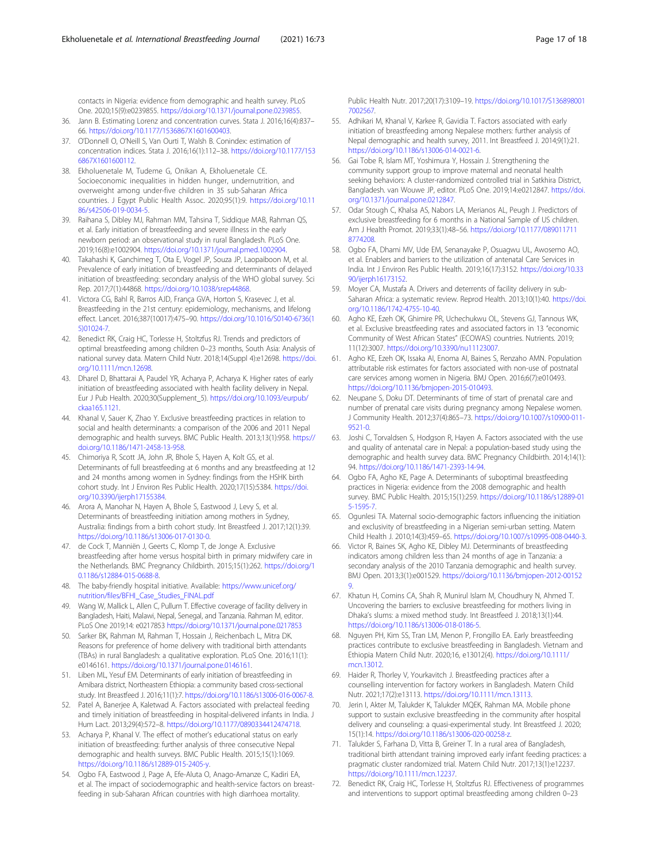<span id="page-16-0"></span>contacts in Nigeria: evidence from demographic and health survey. PLoS One. 2020;15(9):e0239855. <https://doi.org/10.1371/journal.pone.0239855>.

- 36. Jann B. Estimating Lorenz and concentration curves. Stata J. 2016;16(4):837– 66. [https://doi.org/10.1177/1536867X1601600403.](https://doi.org/10.1177/1536867X1601600403)
- 37. O'Donnell O, O'Neill S, Van Ourti T, Walsh B. Conindex: estimation of concentration indices. Stata J. 2016;16(1):112–38. [https://doi.org/10.1177/153](https://doi.org/10.1177/1536867X1601600112) [6867X1601600112](https://doi.org/10.1177/1536867X1601600112).
- 38. Ekholuenetale M, Tudeme G, Onikan A, Ekholuenetale CE. Socioeconomic inequalities in hidden hunger, undernutrition, and overweight among under-five children in 35 sub-Saharan Africa countries. J Egypt Public Health Assoc. 2020;95(1):9. [https://doi.org/10.11](https://doi.org/10.1186/s42506-019-0034-5) [86/s42506-019-0034-5.](https://doi.org/10.1186/s42506-019-0034-5)
- 39. Raihana S, Dibley MJ, Rahman MM, Tahsina T, Siddique MAB, Rahman QS, et al. Early initiation of breastfeeding and severe illness in the early newborn period: an observational study in rural Bangladesh. PLoS One. 2019;16(8):e1002904. <https://doi.org/10.1371/journal.pmed.1002904>.
- 40. Takahashi K, Ganchimeg T, Ota E, Vogel JP, Souza JP, Laopaiboon M, et al. Prevalence of early initiation of breastfeeding and determinants of delayed initiation of breastfeeding: secondary analysis of the WHO global survey. Sci Rep. 2017;7(1):44868. <https://doi.org/10.1038/srep44868>.
- 41. Victora CG, Bahl R, Barros AJD, França GVA, Horton S, Krasevec J, et al. Breastfeeding in the 21st century: epidemiology, mechanisms, and lifelong effect. Lancet. 2016;387(10017):475–90. [https://doi.org/10.1016/S0140-6736\(1](https://doi.org/10.1016/S0140-6736(15)01024-7) [5\)01024-7](https://doi.org/10.1016/S0140-6736(15)01024-7).
- 42. Benedict RK, Craig HC, Torlesse H, Stoltzfus RJ. Trends and predictors of optimal breastfeeding among children 0–23 months, South Asia: Analysis of national survey data. Matern Child Nutr. 2018;14(Suppl 4):e12698. [https://doi.](https://doi.org/10.1111/mcn.12698) [org/10.1111/mcn.12698.](https://doi.org/10.1111/mcn.12698)
- 43. Dharel D, Bhattarai A, Paudel YR, Acharya P, Acharya K. Higher rates of early initiation of breastfeeding associated with health facility delivery in Nepal. Eur J Pub Health. 2020;30(Supplement\_5). [https://doi.org/10.1093/eurpub/](https://doi.org/10.1093/eurpub/ckaa165.1121) [ckaa165.1121](https://doi.org/10.1093/eurpub/ckaa165.1121).
- 44. Khanal V, Sauer K, Zhao Y. Exclusive breastfeeding practices in relation to social and health determinants: a comparison of the 2006 and 2011 Nepal demographic and health surveys. BMC Public Health. 2013;13(1):958. [https://](https://doi.org/10.1186/1471-2458-13-958) [doi.org/10.1186/1471-2458-13-958.](https://doi.org/10.1186/1471-2458-13-958)
- 45. Chimoriya R, Scott JA, John JR, Bhole S, Hayen A, Kolt GS, et al. Determinants of full breastfeeding at 6 months and any breastfeeding at 12 and 24 months among women in Sydney: findings from the HSHK birth cohort study. Int J Environ Res Public Health. 2020;17(15):5384. [https://doi.](https://doi.org/10.3390/ijerph17155384) [org/10.3390/ijerph17155384](https://doi.org/10.3390/ijerph17155384).
- 46. Arora A, Manohar N, Hayen A, Bhole S, Eastwood J, Levy S, et al. Determinants of breastfeeding initiation among mothers in Sydney, Australia: findings from a birth cohort study. Int Breastfeed J. 2017;12(1):39. <https://doi.org/10.1186/s13006-017-0130-0>.
- 47. de Cock T, Manniën J, Geerts C, Klomp T, de Jonge A. Exclusive breastfeeding after home versus hospital birth in primary midwifery care in the Netherlands. BMC Pregnancy Childbirth. 2015;15(1):262. [https://doi.org/1](https://doi.org/10.1186/s12884-015-0688-8) [0.1186/s12884-015-0688-8.](https://doi.org/10.1186/s12884-015-0688-8)
- 48. The baby-friendly hospital initiative. Available: [https://www.unicef.org/](https://www.unicef.org/nutrition/files/BFHI_Case_Studies_FINAL.pdf) [nutrition/files/BFHI\\_Case\\_Studies\\_FINAL.pdf](https://www.unicef.org/nutrition/files/BFHI_Case_Studies_FINAL.pdf)
- 49. Wang W, Mallick L, Allen C, Pullum T. Effective coverage of facility delivery in Bangladesh, Haiti, Malawi, Nepal, Senegal, and Tanzania. Rahman M, editor. PLoS One 2019;14: e0217853 <https://doi.org/10.1371/journal.pone.0217853>
- 50. Sarker BK, Rahman M, Rahman T, Hossain J, Reichenbach L, Mitra DK. Reasons for preference of home delivery with traditional birth attendants (TBAs) in rural Bangladesh: a qualitative exploration. PLoS One. 2016;11(1): e0146161. <https://doi.org/10.1371/journal.pone.0146161>.
- 51. Liben ML, Yesuf EM. Determinants of early initiation of breastfeeding in Amibara district, Northeastern Ethiopia: a community based cross-sectional study. Int Breastfeed J. 2016;11(1):7. [https://doi.org/10.1186/s13006-016-0067-8.](https://doi.org/10.1186/s13006-016-0067-8)
- 52. Patel A, Banerjee A, Kaletwad A. Factors associated with prelacteal feeding and timely initiation of breastfeeding in hospital-delivered infants in India. J Hum Lact. 2013;29(4):572–8. <https://doi.org/10.1177/0890334412474718>.
- 53. Acharya P, Khanal V. The effect of mother's educational status on early initiation of breastfeeding: further analysis of three consecutive Nepal demographic and health surveys. BMC Public Health. 2015;15(1):1069. [https://doi.org/10.1186/s12889-015-2405-y.](https://doi.org/10.1186/s12889-015-2405-y)
- 54. Ogbo FA, Eastwood J, Page A, Efe-Aluta O, Anago-Amanze C, Kadiri EA, et al. The impact of sociodemographic and health-service factors on breastfeeding in sub-Saharan African countries with high diarrhoea mortality.

Public Health Nutr. 2017;20(17):3109–19. [https://doi.org/10.1017/S136898001](https://doi.org/10.1017/S1368980017002567) [7002567.](https://doi.org/10.1017/S1368980017002567)

- 55. Adhikari M, Khanal V, Karkee R, Gavidia T. Factors associated with early initiation of breastfeeding among Nepalese mothers: further analysis of Nepal demographic and health survey, 2011. Int Breastfeed J. 2014;9(1):21. <https://doi.org/10.1186/s13006-014-0021-6>.
- 56. Gai Tobe R, Islam MT, Yoshimura Y, Hossain J. Strengthening the community support group to improve maternal and neonatal health seeking behaviors: A cluster-randomized controlled trial in Satkhira District, Bangladesh. van Wouwe JP, editor. PLoS One. 2019;14:e0212847. [https://doi.](https://doi.org/10.1371/journal.pone.0212847) [org/10.1371/journal.pone.0212847.](https://doi.org/10.1371/journal.pone.0212847)
- 57. Odar Stough C, Khalsa AS, Nabors LA, Merianos AL, Peugh J. Predictors of exclusive breastfeeding for 6 months in a National Sample of US children. Am J Health Promot. 2019;33(1):48–56. [https://doi.org/10.1177/089011711](https://doi.org/10.1177/0890117118774208) [8774208.](https://doi.org/10.1177/0890117118774208)
- 58. Ogbo FA, Dhami MV, Ude EM, Senanayake P, Osuagwu UL, Awosemo AO, et al. Enablers and barriers to the utilization of antenatal Care Services in India. Int J Environ Res Public Health. 2019;16(17):3152. [https://doi.org/10.33](https://doi.org/10.3390/ijerph16173152) [90/ijerph16173152](https://doi.org/10.3390/ijerph16173152).
- 59. Moyer CA, Mustafa A. Drivers and deterrents of facility delivery in sub-Saharan Africa: a systematic review. Reprod Health. 2013;10(1):40. [https://doi.](https://doi.org/10.1186/1742-4755-10-40) [org/10.1186/1742-4755-10-40](https://doi.org/10.1186/1742-4755-10-40).
- 60. Agho KE, Ezeh OK, Ghimire PR, Uchechukwu OL, Stevens GJ, Tannous WK, et al. Exclusive breastfeeding rates and associated factors in 13 "economic Community of West African States" (ECOWAS) countries. Nutrients. 2019; 11(12):3007. <https://doi.org/10.3390/nu11123007>.
- 61. Agho KE, Ezeh OK, Issaka AI, Enoma AI, Baines S, Renzaho AMN. Population attributable risk estimates for factors associated with non-use of postnatal care services among women in Nigeria. BMJ Open. 2016;6(7):e010493. <https://doi.org/10.1136/bmjopen-2015-010493>.
- 62. Neupane S, Doku DT. Determinants of time of start of prenatal care and number of prenatal care visits during pregnancy among Nepalese women. J Community Health. 2012;37(4):865–73. [https://doi.org/10.1007/s10900-011-](https://doi.org/10.1007/s10900-011-9521-0) [9521-0.](https://doi.org/10.1007/s10900-011-9521-0)
- 63. Joshi C, Torvaldsen S, Hodgson R, Hayen A. Factors associated with the use and quality of antenatal care in Nepal: a population-based study using the demographic and health survey data. BMC Pregnancy Childbirth. 2014;14(1): 94. <https://doi.org/10.1186/1471-2393-14-94>.
- 64. Ogbo FA, Agho KE, Page A. Determinants of suboptimal breastfeeding practices in Nigeria: evidence from the 2008 demographic and health survey. BMC Public Health. 2015;15(1):259. [https://doi.org/10.1186/s12889-01](https://doi.org/10.1186/s12889-015-1595-7) [5-1595-7](https://doi.org/10.1186/s12889-015-1595-7).
- 65. Ogunlesi TA. Maternal socio-demographic factors influencing the initiation and exclusivity of breastfeeding in a Nigerian semi-urban setting. Matern Child Health J. 2010;14(3):459–65. <https://doi.org/10.1007/s10995-008-0440-3>.
- 66. Victor R, Baines SK, Agho KE, Dibley MJ. Determinants of breastfeeding indicators among children less than 24 months of age in Tanzania: a secondary analysis of the 2010 Tanzania demographic and health survey. BMJ Open. 2013;3(1):e001529. [https://doi.org/10.1136/bmjopen-2012-00152](https://doi.org/10.1136/bmjopen-2012-001529) [9](https://doi.org/10.1136/bmjopen-2012-001529).
- 67. Khatun H, Comins CA, Shah R, Munirul Islam M, Choudhury N, Ahmed T. Uncovering the barriers to exclusive breastfeeding for mothers living in Dhaka's slums: a mixed method study. Int Breastfeed J. 2018;13(1):44. <https://doi.org/10.1186/s13006-018-0186-5>.
- 68. Nguyen PH, Kim SS, Tran LM, Menon P, Frongillo EA. Early breastfeeding practices contribute to exclusive breastfeeding in Bangladesh. Vietnam and Ethiopia Matern Child Nutr. 2020;16, e13012(4). [https://doi.org/10.1111/](https://doi.org/10.1111/mcn.13012) [mcn.13012.](https://doi.org/10.1111/mcn.13012)
- 69. Haider R, Thorley V, Yourkavitch J. Breastfeeding practices after a counselling intervention for factory workers in Bangladesh. Matern Child Nutr. 2021;17(2):e13113. <https://doi.org/10.1111/mcn.13113>.
- 70. Jerin I, Akter M, Talukder K, Talukder MQEK, Rahman MA. Mobile phone support to sustain exclusive breastfeeding in the community after hospital delivery and counseling: a quasi-experimental study. Int Breastfeed J. 2020; 15(1):14. <https://doi.org/10.1186/s13006-020-00258-z>.
- 71. Talukder S, Farhana D, Vitta B, Greiner T. In a rural area of Bangladesh, traditional birth attendant training improved early infant feeding practices: a pragmatic cluster randomized trial. Matern Child Nutr. 2017;13(1):e12237. [https://doi.org/10.1111/mcn.12237.](https://doi.org/10.1111/mcn.12237)
- 72. Benedict RK, Craig HC, Torlesse H, Stoltzfus RJ. Effectiveness of programmes and interventions to support optimal breastfeeding among children 0–23